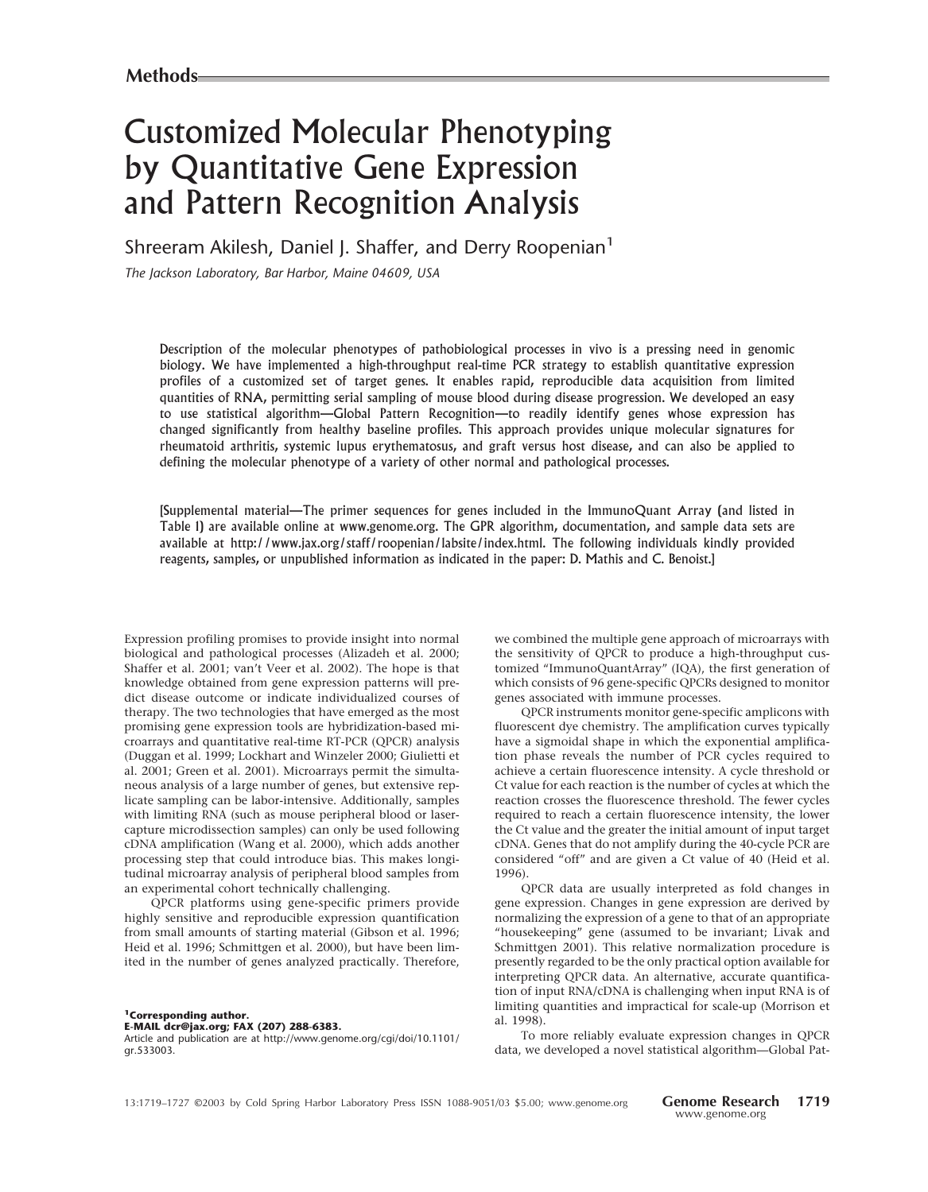# Customized Molecular Phenotyping by Quantitative Gene Expression and Pattern Recognition Analysis

Shreeram Akilesh, Daniel J. Shaffer, and Derry Roopenian<sup>1</sup>

*The Jackson Laboratory, Bar Harbor, Maine 04609, USA*

Description of the molecular phenotypes of pathobiological processes in vivo is a pressing need in genomic biology.We have implemented a high-throughput real-time PCR strategy to establish quantitative expression profiles of a customized set of target genes. It enables rapid, reproducible data acquisition from limited quantities of RNA, permitting serial sampling of mouse blood during disease progression.We developed an easy to use statistical algorithm—Global Pattern Recognition—to readily identify genes whose expression has changed significantly from healthy baseline profiles.This approach provides unique molecular signatures for rheumatoid arthritis, systemic lupus erythematosus, and graft versus host disease, and can also be applied to defining the molecular phenotype of a variety of other normal and pathological processes.

[Supplemental material—The primer sequences for genes included in the ImmunoQuant Array (and listed in Table 1) are available online at www.genome.org. The GPR algorithm, documentation, and sample data sets are available at http://www.jax.org/staff/roopenian/labsite/index.html.The following individuals kindly provided reagents, samples, or unpublished information as indicated in the paper: D. Mathis and C. Benoist.]

Expression profiling promises to provide insight into normal biological and pathological processes (Alizadeh et al. 2000; Shaffer et al. 2001; van't Veer et al. 2002). The hope is that knowledge obtained from gene expression patterns will predict disease outcome or indicate individualized courses of therapy. The two technologies that have emerged as the most promising gene expression tools are hybridization-based microarrays and quantitative real-time RT-PCR (QPCR) analysis (Duggan et al. 1999; Lockhart and Winzeler 2000; Giulietti et al. 2001; Green et al. 2001). Microarrays permit the simultaneous analysis of a large number of genes, but extensive replicate sampling can be labor-intensive. Additionally, samples with limiting RNA (such as mouse peripheral blood or lasercapture microdissection samples) can only be used following cDNA amplification (Wang et al. 2000), which adds another processing step that could introduce bias. This makes longitudinal microarray analysis of peripheral blood samples from an experimental cohort technically challenging.

QPCR platforms using gene-specific primers provide highly sensitive and reproducible expression quantification from small amounts of starting material (Gibson et al. 1996; Heid et al. 1996; Schmittgen et al. 2000), but have been limited in the number of genes analyzed practically. Therefore,

**1Corresponding author. E-MAIL dcr@jax.org; FAX (207) 288-6383.**

Article and publication are at http://www.genome.org/cgi/doi/10.1101/ gr.533003.

we combined the multiple gene approach of microarrays with the sensitivity of QPCR to produce a high-throughput customized "ImmunoQuantArray" (IQA), the first generation of which consists of 96 gene-specific QPCRs designed to monitor genes associated with immune processes.

QPCR instruments monitor gene-specific amplicons with fluorescent dye chemistry. The amplification curves typically have a sigmoidal shape in which the exponential amplification phase reveals the number of PCR cycles required to achieve a certain fluorescence intensity. A cycle threshold or Ct value for each reaction is the number of cycles at which the reaction crosses the fluorescence threshold. The fewer cycles required to reach a certain fluorescence intensity, the lower the Ct value and the greater the initial amount of input target cDNA. Genes that do not amplify during the 40-cycle PCR are considered "off" and are given a Ct value of 40 (Heid et al. 1996).

QPCR data are usually interpreted as fold changes in gene expression. Changes in gene expression are derived by normalizing the expression of a gene to that of an appropriate "housekeeping" gene (assumed to be invariant; Livak and Schmittgen 2001). This relative normalization procedure is presently regarded to be the only practical option available for interpreting QPCR data. An alternative, accurate quantification of input RNA/cDNA is challenging when input RNA is of limiting quantities and impractical for scale-up (Morrison et al. 1998).

To more reliably evaluate expression changes in QPCR data, we developed a novel statistical algorithm—Global Pat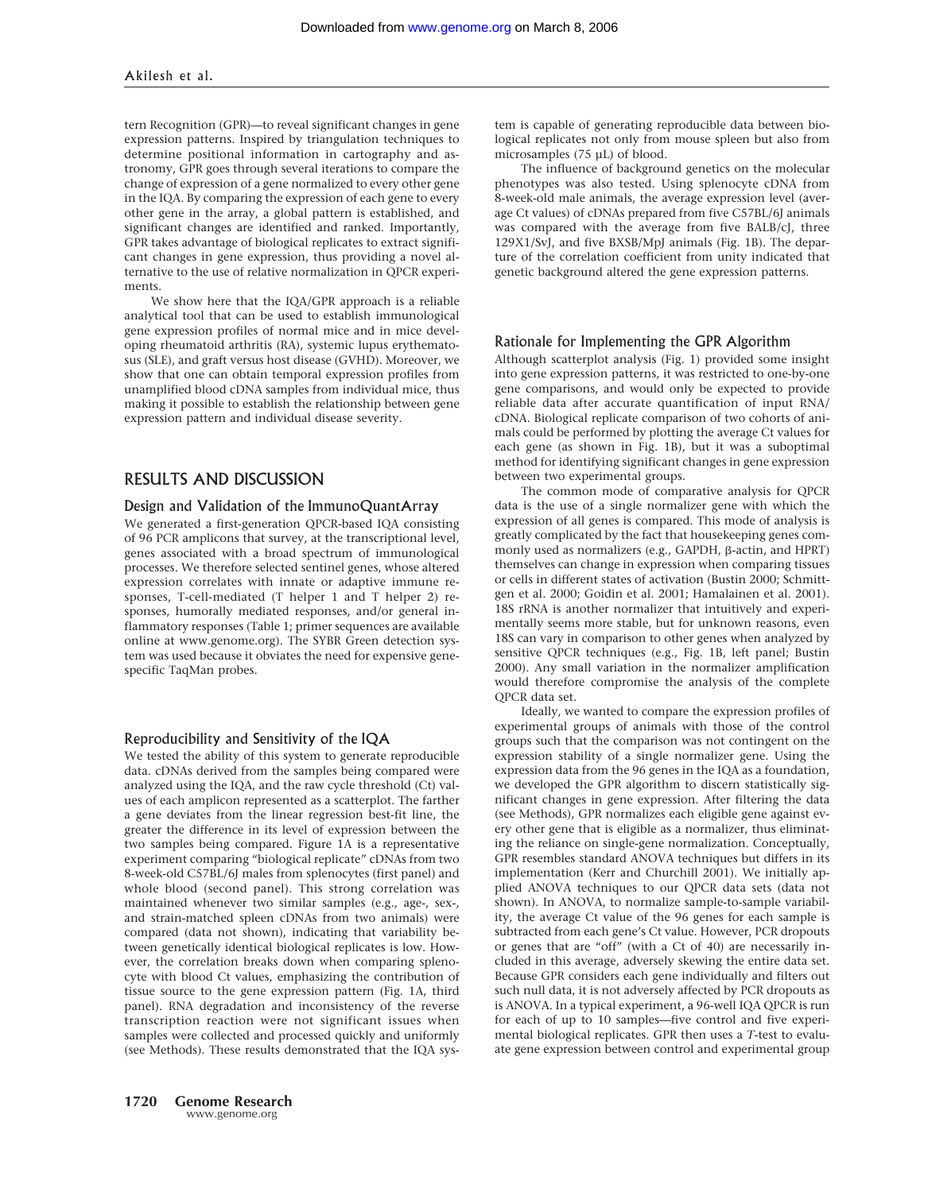tern Recognition (GPR)—to reveal significant changes in gene expression patterns. Inspired by triangulation techniques to determine positional information in cartography and astronomy, GPR goes through several iterations to compare the change of expression of a gene normalized to every other gene in the IQA. By comparing the expression of each gene to every other gene in the array, a global pattern is established, and significant changes are identified and ranked. Importantly, GPR takes advantage of biological replicates to extract significant changes in gene expression, thus providing a novel alternative to the use of relative normalization in QPCR experiments.

We show here that the IQA/GPR approach is a reliable analytical tool that can be used to establish immunological gene expression profiles of normal mice and in mice developing rheumatoid arthritis (RA), systemic lupus erythematosus (SLE), and graft versus host disease (GVHD). Moreover, we show that one can obtain temporal expression profiles from unamplified blood cDNA samples from individual mice, thus making it possible to establish the relationship between gene expression pattern and individual disease severity.

## RESULTS AND DISCUSSION

#### Design and Validation of the ImmunoQuantArray

We generated a first-generation QPCR-based IQA consisting of 96 PCR amplicons that survey, at the transcriptional level, genes associated with a broad spectrum of immunological processes. We therefore selected sentinel genes, whose altered expression correlates with innate or adaptive immune responses, T-cell-mediated (T helper 1 and T helper 2) responses, humorally mediated responses, and/or general inflammatory responses (Table 1; primer sequences are available online at www.genome.org). The SYBR Green detection system was used because it obviates the need for expensive genespecific TaqMan probes.

#### Reproducibility and Sensitivity of the IQA

We tested the ability of this system to generate reproducible data. cDNAs derived from the samples being compared were analyzed using the IQA, and the raw cycle threshold  $(Ct)$  values of each amplicon represented as a scatterplot. The farther a gene deviates from the linear regression best-fit line, the greater the difference in its level of expression between the two samples being compared. Figure 1A is a representative experiment comparing "biological replicate" cDNAs from two 8-week-old C57BL/6J males from splenocytes (first panel) and whole blood (second panel). This strong correlation was maintained whenever two similar samples (e.g., age-, sex-, and strain-matched spleen cDNAs from two animals) were compared (data not shown), indicating that variability between genetically identical biological replicates is low. However, the correlation breaks down when comparing splenocyte with blood Ct values, emphasizing the contribution of tissue source to the gene expression pattern (Fig. 1A, third panel). RNA degradation and inconsistency of the reverse transcription reaction were not significant issues when samples were collected and processed quickly and uniformly (see Methods). These results demonstrated that the IQA sys-

tem is capable of generating reproducible data between biological replicates not only from mouse spleen but also from microsamples  $(75 \mu L)$  of blood.

The influence of background genetics on the molecular phenotypes was also tested. Using splenocyte cDNA from 8-week-old male animals, the average expression level (average Ct values) of cDNAs prepared from five C57BL/6J animals was compared with the average from five BALB/cJ, three 129X1/SvJ, and five BXSB/MpJ animals (Fig. 1B). The departure of the correlation coefficient from unity indicated that genetic background altered the gene expression patterns.

#### Rationale for Implementing the GPR Algorithm

Although scatterplot analysis (Fig. 1) provided some insight into gene expression patterns, it was restricted to one-by-one gene comparisons, and would only be expected to provide reliable data after accurate quantification of input RNA/ cDNA. Biological replicate comparison of two cohorts of animals could be performed by plotting the average Ct values for each gene (as shown in Fig. 1B), but it was a suboptimal method for identifying significant changes in gene expression between two experimental groups.

The common mode of comparative analysis for QPCR data is the use of a single normalizer gene with which the expression of all genes is compared. This mode of analysis is greatly complicated by the fact that housekeeping genes commonly used as normalizers (e.g., GAPDH,  $\beta$ -actin, and HPRT) themselves can change in expression when comparing tissues or cells in different states of activation (Bustin 2000; Schmittgen et al. 2000; Goidin et al. 2001; Hamalainen et al. 2001). 18S rRNA is another normalizer that intuitively and experimentally seems more stable, but for unknown reasons, even 18S can vary in comparison to other genes when analyzed by sensitive QPCR techniques (e.g., Fig. 1B, left panel; Bustin 2000). Any small variation in the normalizer amplification would therefore compromise the analysis of the complete QPCR data set.

Ideally, we wanted to compare the expression profiles of experimental groups of animals with those of the control groups such that the comparison was not contingent on the expression stability of a single normalizer gene. Using the expression data from the 96 genes in the IQA as a foundation, we developed the GPR algorithm to discern statistically significant changes in gene expression. After filtering the data (see Methods), GPR normalizes each eligible gene against every other gene that is eligible as a normalizer, thus eliminating the reliance on single-gene normalization. Conceptually, GPR resembles standard ANOVA techniques but differs in its implementation (Kerr and Churchill 2001). We initially applied ANOVA techniques to our QPCR data sets (data not shown). In ANOVA, to normalize sample-to-sample variability, the average Ct value of the 96 genes for each sample is subtracted from each gene's Ct value. However, PCR dropouts or genes that are "off" (with a Ct of 40) are necessarily included in this average, adversely skewing the entire data set. Because GPR considers each gene individually and filters out such null data, it is not adversely affected by PCR dropouts as is ANOVA. In a typical experiment, a 96-well IQA QPCR is run for each of up to 10 samples—five control and five experimental biological replicates. GPR then uses a *T*-test to evaluate gene expression between control and experimental group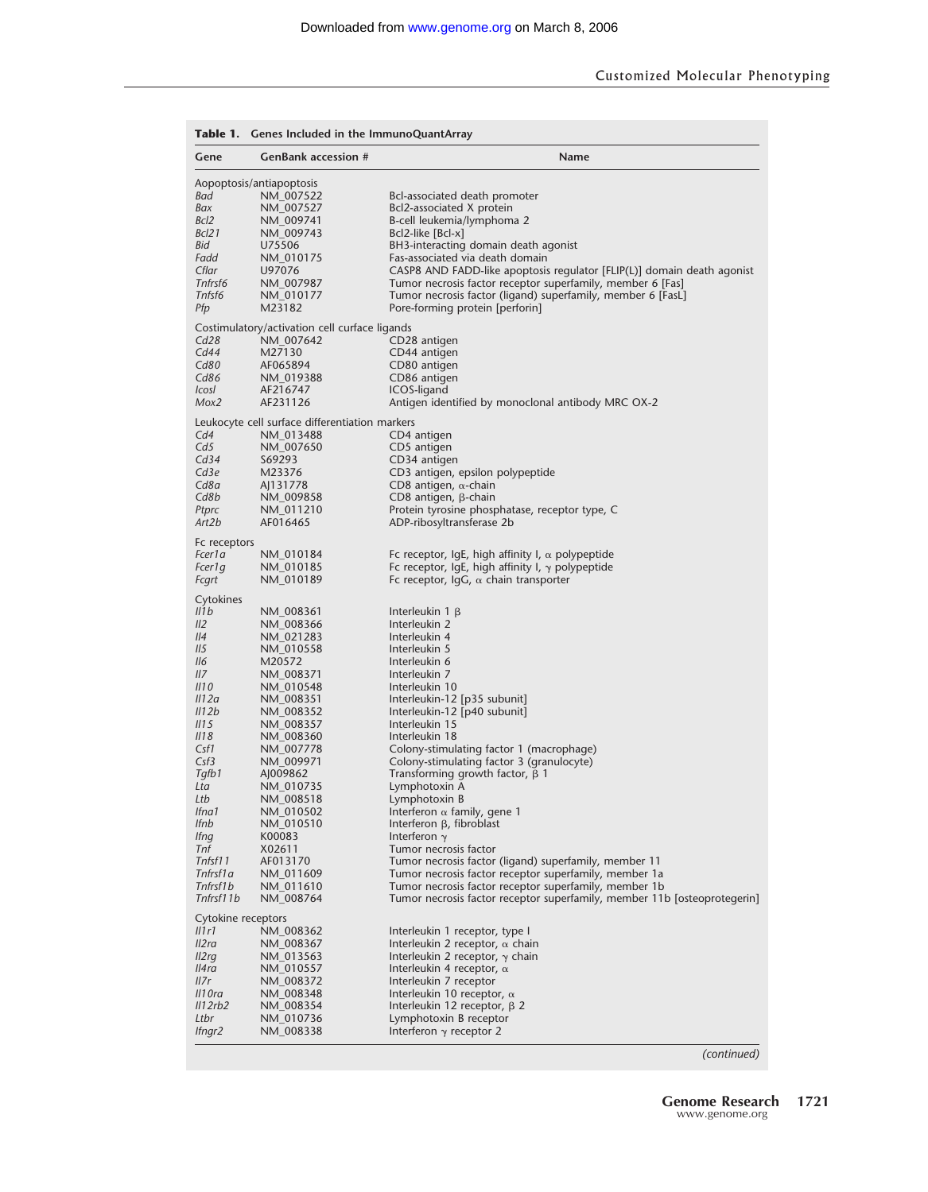| <b>GenBank accession #</b><br>Name<br>Gene<br>Aopoptosis/antiapoptosis<br>Bad<br>NM 007522<br>Bcl-associated death promoter<br>Bax<br>NM_007527<br>Bcl2-associated X protein<br>Bcl <sub>2</sub><br>B-cell leukemia/lymphoma 2<br>NM 009741<br>Bcl21<br>NM_009743<br>Bcl2-like [Bcl-x]<br>Bid<br>U75506<br>BH3-interacting domain death agonist<br>Fas-associated via death domain<br>Fadd<br>NM 010175<br>Cflar<br>U97076<br>CASP8 AND FADD-like apoptosis regulator [FLIP(L)] domain death agonist<br>Tnfrsf6<br>Tumor necrosis factor receptor superfamily, member 6 [Fas]<br>NM_007987<br>Tnfsf6<br>NM 010177<br>Tumor necrosis factor (ligand) superfamily, member 6 [FasL]<br>Pfp<br>M23182<br>Pore-forming protein [perforin]<br>Costimulatory/activation cell curface ligands<br>Cd28<br>NM_007642<br>CD28 antigen<br>Cd44<br>M27130<br>CD44 antigen<br>Cd80<br>AF065894<br>CD80 antigen<br>Cd86<br>NM_019388<br>CD86 antigen<br>AF216747<br>ICOS-ligand<br>IcosI<br>AF231126<br>Mox2<br>Antigen identified by monoclonal antibody MRC OX-2<br>Leukocyte cell surface differentiation markers<br>Cd4<br>CD4 antigen<br>NM_013488<br>Cd <sub>5</sub><br>NM 007650<br>CD5 antigen<br>Cd34<br>S69293<br>CD34 antigen<br>Cd3e<br>M23376<br>CD3 antigen, epsilon polypeptide<br>Cd8a<br>AJ131778<br>CD8 antigen, $\alpha$ -chain<br>Cd8b<br>NM_009858<br>$CD8$ antigen, $\beta$ -chain<br>Protein tyrosine phosphatase, receptor type, C<br>Ptprc<br>NM 011210<br>AF016465<br>Art2b<br>ADP-ribosyltransferase 2b<br>Fc receptors<br>Fcer1 a<br>Fc receptor, $IqE$ , high affinity I, $\alpha$ polypeptide<br>NM_010184<br>Fc receptor, IgE, high affinity I, $\gamma$ polypeptide<br>Fcer1q<br>NM 010185<br>NM_010189<br>Fc receptor, $\lg G$ , $\alpha$ chain transporter<br>Fcgrt<br>Cytokines<br>IIIb<br>NM_008361<br>Interleukin $1 \beta$<br>II2<br>Interleukin 2<br>NM 008366<br>II4<br>NM 021283<br>Interleukin 4<br>II5<br>Interleukin 5<br>NM_010558<br><i>II6</i><br>M20572<br>Interleukin 6<br>IIZ<br>NM 008371<br>Interleukin 7<br>III <sub>0</sub><br>NM_010548<br>Interleukin 10<br>III2a<br>Interleukin-12 [p35 subunit]<br>NM 008351<br>II12b<br>Interleukin-12 [p40 subunit]<br>NM 008352<br>Interleukin 15<br>III <sub>5</sub><br>NM 008357<br><i>II18</i><br>NM 008360<br>Interleukin 18<br>Csf1<br>Colony-stimulating factor 1 (macrophage)<br>NM_007778<br>Csf3<br>NM 009971<br>Colony-stimulating factor 3 (granulocyte)<br>Tqfb1<br>Transforming growth factor, $\beta$ 1<br>AJ009862<br>NM_010735<br>Lymphotoxin A<br>Lta<br>NM 008518<br>Lymphotoxin B<br>Ltb<br>lfna1<br>Interferon $\alpha$ family, gene 1<br>NM_010502<br><b>Ifnb</b><br>Interferon $\beta$ , fibroblast<br>NM 010510<br>K00083<br>Interferon $\gamma$<br><i>Ifng</i><br>Tnf<br>X02611<br>Tumor necrosis factor<br>Tnfsf11<br>AF013170<br>Tumor necrosis factor (ligand) superfamily, member 11<br>Tnfrsf1a<br>NM_011609<br>Tumor necrosis factor receptor superfamily, member 1a<br>Tnfrsf1b<br>NM_011610<br>Tumor necrosis factor receptor superfamily, member 1b<br>Tnfrsf11b<br>Tumor necrosis factor receptor superfamily, member 11b [osteoprotegerin]<br>NM 008764<br>Cytokine receptors<br>IIIr1<br>NM 008362<br>Interleukin 1 receptor, type I<br>Il2ra<br>Interleukin 2 receptor, $\alpha$ chain<br>NM 008367<br>I2rq<br>Interleukin 2 receptor, $\gamma$ chain<br>NM_013563<br>ll4ra<br>NM 010557<br>Interleukin 4 receptor, $\alpha$<br>II7r<br>NM 008372<br>Interleukin 7 receptor<br>II1 Ora<br>NM_008348<br>Interleukin 10 receptor, $\alpha$<br>II2rb2<br>NM 008354<br>Interleukin 12 receptor, $\beta$ 2<br>Ltbr<br>NM 010736<br>Lymphotoxin B receptor<br>Ifngr2<br>NM_008338<br>Interferon $\gamma$ receptor 2 | <b>Table 1.</b> Genes Included in the ImmunoQuantArray |  |  |  |  |  |  |
|----------------------------------------------------------------------------------------------------------------------------------------------------------------------------------------------------------------------------------------------------------------------------------------------------------------------------------------------------------------------------------------------------------------------------------------------------------------------------------------------------------------------------------------------------------------------------------------------------------------------------------------------------------------------------------------------------------------------------------------------------------------------------------------------------------------------------------------------------------------------------------------------------------------------------------------------------------------------------------------------------------------------------------------------------------------------------------------------------------------------------------------------------------------------------------------------------------------------------------------------------------------------------------------------------------------------------------------------------------------------------------------------------------------------------------------------------------------------------------------------------------------------------------------------------------------------------------------------------------------------------------------------------------------------------------------------------------------------------------------------------------------------------------------------------------------------------------------------------------------------------------------------------------------------------------------------------------------------------------------------------------------------------------------------------------------------------------------------------------------------------------------------------------------------------------------------------------------------------------------------------------------------------------------------------------------------------------------------------------------------------------------------------------------------------------------------------------------------------------------------------------------------------------------------------------------------------------------------------------------------------------------------------------------------------------------------------------------------------------------------------------------------------------------------------------------------------------------------------------------------------------------------------------------------------------------------------------------------------------------------------------------------------------------------------------------------------------------------------------------------------------------------------------------------------------------------------------------------------------------------------------------------------------------------------------------------------------------------------------------------------------------------------------------------------------------------------------------------------------------------------------------------------------------------------------------------------------------------------------------------------------------------------------------------------------------------------------------------------------|--------------------------------------------------------|--|--|--|--|--|--|
|                                                                                                                                                                                                                                                                                                                                                                                                                                                                                                                                                                                                                                                                                                                                                                                                                                                                                                                                                                                                                                                                                                                                                                                                                                                                                                                                                                                                                                                                                                                                                                                                                                                                                                                                                                                                                                                                                                                                                                                                                                                                                                                                                                                                                                                                                                                                                                                                                                                                                                                                                                                                                                                                                                                                                                                                                                                                                                                                                                                                                                                                                                                                                                                                                                                                                                                                                                                                                                                                                                                                                                                                                                                                                                                                  |                                                        |  |  |  |  |  |  |
|                                                                                                                                                                                                                                                                                                                                                                                                                                                                                                                                                                                                                                                                                                                                                                                                                                                                                                                                                                                                                                                                                                                                                                                                                                                                                                                                                                                                                                                                                                                                                                                                                                                                                                                                                                                                                                                                                                                                                                                                                                                                                                                                                                                                                                                                                                                                                                                                                                                                                                                                                                                                                                                                                                                                                                                                                                                                                                                                                                                                                                                                                                                                                                                                                                                                                                                                                                                                                                                                                                                                                                                                                                                                                                                                  |                                                        |  |  |  |  |  |  |
|                                                                                                                                                                                                                                                                                                                                                                                                                                                                                                                                                                                                                                                                                                                                                                                                                                                                                                                                                                                                                                                                                                                                                                                                                                                                                                                                                                                                                                                                                                                                                                                                                                                                                                                                                                                                                                                                                                                                                                                                                                                                                                                                                                                                                                                                                                                                                                                                                                                                                                                                                                                                                                                                                                                                                                                                                                                                                                                                                                                                                                                                                                                                                                                                                                                                                                                                                                                                                                                                                                                                                                                                                                                                                                                                  |                                                        |  |  |  |  |  |  |
|                                                                                                                                                                                                                                                                                                                                                                                                                                                                                                                                                                                                                                                                                                                                                                                                                                                                                                                                                                                                                                                                                                                                                                                                                                                                                                                                                                                                                                                                                                                                                                                                                                                                                                                                                                                                                                                                                                                                                                                                                                                                                                                                                                                                                                                                                                                                                                                                                                                                                                                                                                                                                                                                                                                                                                                                                                                                                                                                                                                                                                                                                                                                                                                                                                                                                                                                                                                                                                                                                                                                                                                                                                                                                                                                  |                                                        |  |  |  |  |  |  |
|                                                                                                                                                                                                                                                                                                                                                                                                                                                                                                                                                                                                                                                                                                                                                                                                                                                                                                                                                                                                                                                                                                                                                                                                                                                                                                                                                                                                                                                                                                                                                                                                                                                                                                                                                                                                                                                                                                                                                                                                                                                                                                                                                                                                                                                                                                                                                                                                                                                                                                                                                                                                                                                                                                                                                                                                                                                                                                                                                                                                                                                                                                                                                                                                                                                                                                                                                                                                                                                                                                                                                                                                                                                                                                                                  |                                                        |  |  |  |  |  |  |
|                                                                                                                                                                                                                                                                                                                                                                                                                                                                                                                                                                                                                                                                                                                                                                                                                                                                                                                                                                                                                                                                                                                                                                                                                                                                                                                                                                                                                                                                                                                                                                                                                                                                                                                                                                                                                                                                                                                                                                                                                                                                                                                                                                                                                                                                                                                                                                                                                                                                                                                                                                                                                                                                                                                                                                                                                                                                                                                                                                                                                                                                                                                                                                                                                                                                                                                                                                                                                                                                                                                                                                                                                                                                                                                                  |                                                        |  |  |  |  |  |  |
|                                                                                                                                                                                                                                                                                                                                                                                                                                                                                                                                                                                                                                                                                                                                                                                                                                                                                                                                                                                                                                                                                                                                                                                                                                                                                                                                                                                                                                                                                                                                                                                                                                                                                                                                                                                                                                                                                                                                                                                                                                                                                                                                                                                                                                                                                                                                                                                                                                                                                                                                                                                                                                                                                                                                                                                                                                                                                                                                                                                                                                                                                                                                                                                                                                                                                                                                                                                                                                                                                                                                                                                                                                                                                                                                  |                                                        |  |  |  |  |  |  |
|                                                                                                                                                                                                                                                                                                                                                                                                                                                                                                                                                                                                                                                                                                                                                                                                                                                                                                                                                                                                                                                                                                                                                                                                                                                                                                                                                                                                                                                                                                                                                                                                                                                                                                                                                                                                                                                                                                                                                                                                                                                                                                                                                                                                                                                                                                                                                                                                                                                                                                                                                                                                                                                                                                                                                                                                                                                                                                                                                                                                                                                                                                                                                                                                                                                                                                                                                                                                                                                                                                                                                                                                                                                                                                                                  |                                                        |  |  |  |  |  |  |
|                                                                                                                                                                                                                                                                                                                                                                                                                                                                                                                                                                                                                                                                                                                                                                                                                                                                                                                                                                                                                                                                                                                                                                                                                                                                                                                                                                                                                                                                                                                                                                                                                                                                                                                                                                                                                                                                                                                                                                                                                                                                                                                                                                                                                                                                                                                                                                                                                                                                                                                                                                                                                                                                                                                                                                                                                                                                                                                                                                                                                                                                                                                                                                                                                                                                                                                                                                                                                                                                                                                                                                                                                                                                                                                                  |                                                        |  |  |  |  |  |  |
|                                                                                                                                                                                                                                                                                                                                                                                                                                                                                                                                                                                                                                                                                                                                                                                                                                                                                                                                                                                                                                                                                                                                                                                                                                                                                                                                                                                                                                                                                                                                                                                                                                                                                                                                                                                                                                                                                                                                                                                                                                                                                                                                                                                                                                                                                                                                                                                                                                                                                                                                                                                                                                                                                                                                                                                                                                                                                                                                                                                                                                                                                                                                                                                                                                                                                                                                                                                                                                                                                                                                                                                                                                                                                                                                  |                                                        |  |  |  |  |  |  |
|                                                                                                                                                                                                                                                                                                                                                                                                                                                                                                                                                                                                                                                                                                                                                                                                                                                                                                                                                                                                                                                                                                                                                                                                                                                                                                                                                                                                                                                                                                                                                                                                                                                                                                                                                                                                                                                                                                                                                                                                                                                                                                                                                                                                                                                                                                                                                                                                                                                                                                                                                                                                                                                                                                                                                                                                                                                                                                                                                                                                                                                                                                                                                                                                                                                                                                                                                                                                                                                                                                                                                                                                                                                                                                                                  |                                                        |  |  |  |  |  |  |
|                                                                                                                                                                                                                                                                                                                                                                                                                                                                                                                                                                                                                                                                                                                                                                                                                                                                                                                                                                                                                                                                                                                                                                                                                                                                                                                                                                                                                                                                                                                                                                                                                                                                                                                                                                                                                                                                                                                                                                                                                                                                                                                                                                                                                                                                                                                                                                                                                                                                                                                                                                                                                                                                                                                                                                                                                                                                                                                                                                                                                                                                                                                                                                                                                                                                                                                                                                                                                                                                                                                                                                                                                                                                                                                                  |                                                        |  |  |  |  |  |  |
|                                                                                                                                                                                                                                                                                                                                                                                                                                                                                                                                                                                                                                                                                                                                                                                                                                                                                                                                                                                                                                                                                                                                                                                                                                                                                                                                                                                                                                                                                                                                                                                                                                                                                                                                                                                                                                                                                                                                                                                                                                                                                                                                                                                                                                                                                                                                                                                                                                                                                                                                                                                                                                                                                                                                                                                                                                                                                                                                                                                                                                                                                                                                                                                                                                                                                                                                                                                                                                                                                                                                                                                                                                                                                                                                  |                                                        |  |  |  |  |  |  |
|                                                                                                                                                                                                                                                                                                                                                                                                                                                                                                                                                                                                                                                                                                                                                                                                                                                                                                                                                                                                                                                                                                                                                                                                                                                                                                                                                                                                                                                                                                                                                                                                                                                                                                                                                                                                                                                                                                                                                                                                                                                                                                                                                                                                                                                                                                                                                                                                                                                                                                                                                                                                                                                                                                                                                                                                                                                                                                                                                                                                                                                                                                                                                                                                                                                                                                                                                                                                                                                                                                                                                                                                                                                                                                                                  |                                                        |  |  |  |  |  |  |
|                                                                                                                                                                                                                                                                                                                                                                                                                                                                                                                                                                                                                                                                                                                                                                                                                                                                                                                                                                                                                                                                                                                                                                                                                                                                                                                                                                                                                                                                                                                                                                                                                                                                                                                                                                                                                                                                                                                                                                                                                                                                                                                                                                                                                                                                                                                                                                                                                                                                                                                                                                                                                                                                                                                                                                                                                                                                                                                                                                                                                                                                                                                                                                                                                                                                                                                                                                                                                                                                                                                                                                                                                                                                                                                                  |                                                        |  |  |  |  |  |  |
|                                                                                                                                                                                                                                                                                                                                                                                                                                                                                                                                                                                                                                                                                                                                                                                                                                                                                                                                                                                                                                                                                                                                                                                                                                                                                                                                                                                                                                                                                                                                                                                                                                                                                                                                                                                                                                                                                                                                                                                                                                                                                                                                                                                                                                                                                                                                                                                                                                                                                                                                                                                                                                                                                                                                                                                                                                                                                                                                                                                                                                                                                                                                                                                                                                                                                                                                                                                                                                                                                                                                                                                                                                                                                                                                  |                                                        |  |  |  |  |  |  |
|                                                                                                                                                                                                                                                                                                                                                                                                                                                                                                                                                                                                                                                                                                                                                                                                                                                                                                                                                                                                                                                                                                                                                                                                                                                                                                                                                                                                                                                                                                                                                                                                                                                                                                                                                                                                                                                                                                                                                                                                                                                                                                                                                                                                                                                                                                                                                                                                                                                                                                                                                                                                                                                                                                                                                                                                                                                                                                                                                                                                                                                                                                                                                                                                                                                                                                                                                                                                                                                                                                                                                                                                                                                                                                                                  |                                                        |  |  |  |  |  |  |
|                                                                                                                                                                                                                                                                                                                                                                                                                                                                                                                                                                                                                                                                                                                                                                                                                                                                                                                                                                                                                                                                                                                                                                                                                                                                                                                                                                                                                                                                                                                                                                                                                                                                                                                                                                                                                                                                                                                                                                                                                                                                                                                                                                                                                                                                                                                                                                                                                                                                                                                                                                                                                                                                                                                                                                                                                                                                                                                                                                                                                                                                                                                                                                                                                                                                                                                                                                                                                                                                                                                                                                                                                                                                                                                                  |                                                        |  |  |  |  |  |  |
|                                                                                                                                                                                                                                                                                                                                                                                                                                                                                                                                                                                                                                                                                                                                                                                                                                                                                                                                                                                                                                                                                                                                                                                                                                                                                                                                                                                                                                                                                                                                                                                                                                                                                                                                                                                                                                                                                                                                                                                                                                                                                                                                                                                                                                                                                                                                                                                                                                                                                                                                                                                                                                                                                                                                                                                                                                                                                                                                                                                                                                                                                                                                                                                                                                                                                                                                                                                                                                                                                                                                                                                                                                                                                                                                  |                                                        |  |  |  |  |  |  |
|                                                                                                                                                                                                                                                                                                                                                                                                                                                                                                                                                                                                                                                                                                                                                                                                                                                                                                                                                                                                                                                                                                                                                                                                                                                                                                                                                                                                                                                                                                                                                                                                                                                                                                                                                                                                                                                                                                                                                                                                                                                                                                                                                                                                                                                                                                                                                                                                                                                                                                                                                                                                                                                                                                                                                                                                                                                                                                                                                                                                                                                                                                                                                                                                                                                                                                                                                                                                                                                                                                                                                                                                                                                                                                                                  |                                                        |  |  |  |  |  |  |
|                                                                                                                                                                                                                                                                                                                                                                                                                                                                                                                                                                                                                                                                                                                                                                                                                                                                                                                                                                                                                                                                                                                                                                                                                                                                                                                                                                                                                                                                                                                                                                                                                                                                                                                                                                                                                                                                                                                                                                                                                                                                                                                                                                                                                                                                                                                                                                                                                                                                                                                                                                                                                                                                                                                                                                                                                                                                                                                                                                                                                                                                                                                                                                                                                                                                                                                                                                                                                                                                                                                                                                                                                                                                                                                                  |                                                        |  |  |  |  |  |  |
|                                                                                                                                                                                                                                                                                                                                                                                                                                                                                                                                                                                                                                                                                                                                                                                                                                                                                                                                                                                                                                                                                                                                                                                                                                                                                                                                                                                                                                                                                                                                                                                                                                                                                                                                                                                                                                                                                                                                                                                                                                                                                                                                                                                                                                                                                                                                                                                                                                                                                                                                                                                                                                                                                                                                                                                                                                                                                                                                                                                                                                                                                                                                                                                                                                                                                                                                                                                                                                                                                                                                                                                                                                                                                                                                  |                                                        |  |  |  |  |  |  |
|                                                                                                                                                                                                                                                                                                                                                                                                                                                                                                                                                                                                                                                                                                                                                                                                                                                                                                                                                                                                                                                                                                                                                                                                                                                                                                                                                                                                                                                                                                                                                                                                                                                                                                                                                                                                                                                                                                                                                                                                                                                                                                                                                                                                                                                                                                                                                                                                                                                                                                                                                                                                                                                                                                                                                                                                                                                                                                                                                                                                                                                                                                                                                                                                                                                                                                                                                                                                                                                                                                                                                                                                                                                                                                                                  |                                                        |  |  |  |  |  |  |
|                                                                                                                                                                                                                                                                                                                                                                                                                                                                                                                                                                                                                                                                                                                                                                                                                                                                                                                                                                                                                                                                                                                                                                                                                                                                                                                                                                                                                                                                                                                                                                                                                                                                                                                                                                                                                                                                                                                                                                                                                                                                                                                                                                                                                                                                                                                                                                                                                                                                                                                                                                                                                                                                                                                                                                                                                                                                                                                                                                                                                                                                                                                                                                                                                                                                                                                                                                                                                                                                                                                                                                                                                                                                                                                                  |                                                        |  |  |  |  |  |  |
|                                                                                                                                                                                                                                                                                                                                                                                                                                                                                                                                                                                                                                                                                                                                                                                                                                                                                                                                                                                                                                                                                                                                                                                                                                                                                                                                                                                                                                                                                                                                                                                                                                                                                                                                                                                                                                                                                                                                                                                                                                                                                                                                                                                                                                                                                                                                                                                                                                                                                                                                                                                                                                                                                                                                                                                                                                                                                                                                                                                                                                                                                                                                                                                                                                                                                                                                                                                                                                                                                                                                                                                                                                                                                                                                  |                                                        |  |  |  |  |  |  |
|                                                                                                                                                                                                                                                                                                                                                                                                                                                                                                                                                                                                                                                                                                                                                                                                                                                                                                                                                                                                                                                                                                                                                                                                                                                                                                                                                                                                                                                                                                                                                                                                                                                                                                                                                                                                                                                                                                                                                                                                                                                                                                                                                                                                                                                                                                                                                                                                                                                                                                                                                                                                                                                                                                                                                                                                                                                                                                                                                                                                                                                                                                                                                                                                                                                                                                                                                                                                                                                                                                                                                                                                                                                                                                                                  |                                                        |  |  |  |  |  |  |
|                                                                                                                                                                                                                                                                                                                                                                                                                                                                                                                                                                                                                                                                                                                                                                                                                                                                                                                                                                                                                                                                                                                                                                                                                                                                                                                                                                                                                                                                                                                                                                                                                                                                                                                                                                                                                                                                                                                                                                                                                                                                                                                                                                                                                                                                                                                                                                                                                                                                                                                                                                                                                                                                                                                                                                                                                                                                                                                                                                                                                                                                                                                                                                                                                                                                                                                                                                                                                                                                                                                                                                                                                                                                                                                                  |                                                        |  |  |  |  |  |  |
|                                                                                                                                                                                                                                                                                                                                                                                                                                                                                                                                                                                                                                                                                                                                                                                                                                                                                                                                                                                                                                                                                                                                                                                                                                                                                                                                                                                                                                                                                                                                                                                                                                                                                                                                                                                                                                                                                                                                                                                                                                                                                                                                                                                                                                                                                                                                                                                                                                                                                                                                                                                                                                                                                                                                                                                                                                                                                                                                                                                                                                                                                                                                                                                                                                                                                                                                                                                                                                                                                                                                                                                                                                                                                                                                  |                                                        |  |  |  |  |  |  |
|                                                                                                                                                                                                                                                                                                                                                                                                                                                                                                                                                                                                                                                                                                                                                                                                                                                                                                                                                                                                                                                                                                                                                                                                                                                                                                                                                                                                                                                                                                                                                                                                                                                                                                                                                                                                                                                                                                                                                                                                                                                                                                                                                                                                                                                                                                                                                                                                                                                                                                                                                                                                                                                                                                                                                                                                                                                                                                                                                                                                                                                                                                                                                                                                                                                                                                                                                                                                                                                                                                                                                                                                                                                                                                                                  |                                                        |  |  |  |  |  |  |
|                                                                                                                                                                                                                                                                                                                                                                                                                                                                                                                                                                                                                                                                                                                                                                                                                                                                                                                                                                                                                                                                                                                                                                                                                                                                                                                                                                                                                                                                                                                                                                                                                                                                                                                                                                                                                                                                                                                                                                                                                                                                                                                                                                                                                                                                                                                                                                                                                                                                                                                                                                                                                                                                                                                                                                                                                                                                                                                                                                                                                                                                                                                                                                                                                                                                                                                                                                                                                                                                                                                                                                                                                                                                                                                                  |                                                        |  |  |  |  |  |  |
|                                                                                                                                                                                                                                                                                                                                                                                                                                                                                                                                                                                                                                                                                                                                                                                                                                                                                                                                                                                                                                                                                                                                                                                                                                                                                                                                                                                                                                                                                                                                                                                                                                                                                                                                                                                                                                                                                                                                                                                                                                                                                                                                                                                                                                                                                                                                                                                                                                                                                                                                                                                                                                                                                                                                                                                                                                                                                                                                                                                                                                                                                                                                                                                                                                                                                                                                                                                                                                                                                                                                                                                                                                                                                                                                  |                                                        |  |  |  |  |  |  |
|                                                                                                                                                                                                                                                                                                                                                                                                                                                                                                                                                                                                                                                                                                                                                                                                                                                                                                                                                                                                                                                                                                                                                                                                                                                                                                                                                                                                                                                                                                                                                                                                                                                                                                                                                                                                                                                                                                                                                                                                                                                                                                                                                                                                                                                                                                                                                                                                                                                                                                                                                                                                                                                                                                                                                                                                                                                                                                                                                                                                                                                                                                                                                                                                                                                                                                                                                                                                                                                                                                                                                                                                                                                                                                                                  |                                                        |  |  |  |  |  |  |
|                                                                                                                                                                                                                                                                                                                                                                                                                                                                                                                                                                                                                                                                                                                                                                                                                                                                                                                                                                                                                                                                                                                                                                                                                                                                                                                                                                                                                                                                                                                                                                                                                                                                                                                                                                                                                                                                                                                                                                                                                                                                                                                                                                                                                                                                                                                                                                                                                                                                                                                                                                                                                                                                                                                                                                                                                                                                                                                                                                                                                                                                                                                                                                                                                                                                                                                                                                                                                                                                                                                                                                                                                                                                                                                                  |                                                        |  |  |  |  |  |  |
|                                                                                                                                                                                                                                                                                                                                                                                                                                                                                                                                                                                                                                                                                                                                                                                                                                                                                                                                                                                                                                                                                                                                                                                                                                                                                                                                                                                                                                                                                                                                                                                                                                                                                                                                                                                                                                                                                                                                                                                                                                                                                                                                                                                                                                                                                                                                                                                                                                                                                                                                                                                                                                                                                                                                                                                                                                                                                                                                                                                                                                                                                                                                                                                                                                                                                                                                                                                                                                                                                                                                                                                                                                                                                                                                  |                                                        |  |  |  |  |  |  |
|                                                                                                                                                                                                                                                                                                                                                                                                                                                                                                                                                                                                                                                                                                                                                                                                                                                                                                                                                                                                                                                                                                                                                                                                                                                                                                                                                                                                                                                                                                                                                                                                                                                                                                                                                                                                                                                                                                                                                                                                                                                                                                                                                                                                                                                                                                                                                                                                                                                                                                                                                                                                                                                                                                                                                                                                                                                                                                                                                                                                                                                                                                                                                                                                                                                                                                                                                                                                                                                                                                                                                                                                                                                                                                                                  |                                                        |  |  |  |  |  |  |
|                                                                                                                                                                                                                                                                                                                                                                                                                                                                                                                                                                                                                                                                                                                                                                                                                                                                                                                                                                                                                                                                                                                                                                                                                                                                                                                                                                                                                                                                                                                                                                                                                                                                                                                                                                                                                                                                                                                                                                                                                                                                                                                                                                                                                                                                                                                                                                                                                                                                                                                                                                                                                                                                                                                                                                                                                                                                                                                                                                                                                                                                                                                                                                                                                                                                                                                                                                                                                                                                                                                                                                                                                                                                                                                                  |                                                        |  |  |  |  |  |  |
|                                                                                                                                                                                                                                                                                                                                                                                                                                                                                                                                                                                                                                                                                                                                                                                                                                                                                                                                                                                                                                                                                                                                                                                                                                                                                                                                                                                                                                                                                                                                                                                                                                                                                                                                                                                                                                                                                                                                                                                                                                                                                                                                                                                                                                                                                                                                                                                                                                                                                                                                                                                                                                                                                                                                                                                                                                                                                                                                                                                                                                                                                                                                                                                                                                                                                                                                                                                                                                                                                                                                                                                                                                                                                                                                  |                                                        |  |  |  |  |  |  |
|                                                                                                                                                                                                                                                                                                                                                                                                                                                                                                                                                                                                                                                                                                                                                                                                                                                                                                                                                                                                                                                                                                                                                                                                                                                                                                                                                                                                                                                                                                                                                                                                                                                                                                                                                                                                                                                                                                                                                                                                                                                                                                                                                                                                                                                                                                                                                                                                                                                                                                                                                                                                                                                                                                                                                                                                                                                                                                                                                                                                                                                                                                                                                                                                                                                                                                                                                                                                                                                                                                                                                                                                                                                                                                                                  |                                                        |  |  |  |  |  |  |
|                                                                                                                                                                                                                                                                                                                                                                                                                                                                                                                                                                                                                                                                                                                                                                                                                                                                                                                                                                                                                                                                                                                                                                                                                                                                                                                                                                                                                                                                                                                                                                                                                                                                                                                                                                                                                                                                                                                                                                                                                                                                                                                                                                                                                                                                                                                                                                                                                                                                                                                                                                                                                                                                                                                                                                                                                                                                                                                                                                                                                                                                                                                                                                                                                                                                                                                                                                                                                                                                                                                                                                                                                                                                                                                                  |                                                        |  |  |  |  |  |  |
|                                                                                                                                                                                                                                                                                                                                                                                                                                                                                                                                                                                                                                                                                                                                                                                                                                                                                                                                                                                                                                                                                                                                                                                                                                                                                                                                                                                                                                                                                                                                                                                                                                                                                                                                                                                                                                                                                                                                                                                                                                                                                                                                                                                                                                                                                                                                                                                                                                                                                                                                                                                                                                                                                                                                                                                                                                                                                                                                                                                                                                                                                                                                                                                                                                                                                                                                                                                                                                                                                                                                                                                                                                                                                                                                  |                                                        |  |  |  |  |  |  |
|                                                                                                                                                                                                                                                                                                                                                                                                                                                                                                                                                                                                                                                                                                                                                                                                                                                                                                                                                                                                                                                                                                                                                                                                                                                                                                                                                                                                                                                                                                                                                                                                                                                                                                                                                                                                                                                                                                                                                                                                                                                                                                                                                                                                                                                                                                                                                                                                                                                                                                                                                                                                                                                                                                                                                                                                                                                                                                                                                                                                                                                                                                                                                                                                                                                                                                                                                                                                                                                                                                                                                                                                                                                                                                                                  |                                                        |  |  |  |  |  |  |
|                                                                                                                                                                                                                                                                                                                                                                                                                                                                                                                                                                                                                                                                                                                                                                                                                                                                                                                                                                                                                                                                                                                                                                                                                                                                                                                                                                                                                                                                                                                                                                                                                                                                                                                                                                                                                                                                                                                                                                                                                                                                                                                                                                                                                                                                                                                                                                                                                                                                                                                                                                                                                                                                                                                                                                                                                                                                                                                                                                                                                                                                                                                                                                                                                                                                                                                                                                                                                                                                                                                                                                                                                                                                                                                                  |                                                        |  |  |  |  |  |  |
|                                                                                                                                                                                                                                                                                                                                                                                                                                                                                                                                                                                                                                                                                                                                                                                                                                                                                                                                                                                                                                                                                                                                                                                                                                                                                                                                                                                                                                                                                                                                                                                                                                                                                                                                                                                                                                                                                                                                                                                                                                                                                                                                                                                                                                                                                                                                                                                                                                                                                                                                                                                                                                                                                                                                                                                                                                                                                                                                                                                                                                                                                                                                                                                                                                                                                                                                                                                                                                                                                                                                                                                                                                                                                                                                  |                                                        |  |  |  |  |  |  |
|                                                                                                                                                                                                                                                                                                                                                                                                                                                                                                                                                                                                                                                                                                                                                                                                                                                                                                                                                                                                                                                                                                                                                                                                                                                                                                                                                                                                                                                                                                                                                                                                                                                                                                                                                                                                                                                                                                                                                                                                                                                                                                                                                                                                                                                                                                                                                                                                                                                                                                                                                                                                                                                                                                                                                                                                                                                                                                                                                                                                                                                                                                                                                                                                                                                                                                                                                                                                                                                                                                                                                                                                                                                                                                                                  |                                                        |  |  |  |  |  |  |
|                                                                                                                                                                                                                                                                                                                                                                                                                                                                                                                                                                                                                                                                                                                                                                                                                                                                                                                                                                                                                                                                                                                                                                                                                                                                                                                                                                                                                                                                                                                                                                                                                                                                                                                                                                                                                                                                                                                                                                                                                                                                                                                                                                                                                                                                                                                                                                                                                                                                                                                                                                                                                                                                                                                                                                                                                                                                                                                                                                                                                                                                                                                                                                                                                                                                                                                                                                                                                                                                                                                                                                                                                                                                                                                                  |                                                        |  |  |  |  |  |  |
|                                                                                                                                                                                                                                                                                                                                                                                                                                                                                                                                                                                                                                                                                                                                                                                                                                                                                                                                                                                                                                                                                                                                                                                                                                                                                                                                                                                                                                                                                                                                                                                                                                                                                                                                                                                                                                                                                                                                                                                                                                                                                                                                                                                                                                                                                                                                                                                                                                                                                                                                                                                                                                                                                                                                                                                                                                                                                                                                                                                                                                                                                                                                                                                                                                                                                                                                                                                                                                                                                                                                                                                                                                                                                                                                  |                                                        |  |  |  |  |  |  |
|                                                                                                                                                                                                                                                                                                                                                                                                                                                                                                                                                                                                                                                                                                                                                                                                                                                                                                                                                                                                                                                                                                                                                                                                                                                                                                                                                                                                                                                                                                                                                                                                                                                                                                                                                                                                                                                                                                                                                                                                                                                                                                                                                                                                                                                                                                                                                                                                                                                                                                                                                                                                                                                                                                                                                                                                                                                                                                                                                                                                                                                                                                                                                                                                                                                                                                                                                                                                                                                                                                                                                                                                                                                                                                                                  |                                                        |  |  |  |  |  |  |
|                                                                                                                                                                                                                                                                                                                                                                                                                                                                                                                                                                                                                                                                                                                                                                                                                                                                                                                                                                                                                                                                                                                                                                                                                                                                                                                                                                                                                                                                                                                                                                                                                                                                                                                                                                                                                                                                                                                                                                                                                                                                                                                                                                                                                                                                                                                                                                                                                                                                                                                                                                                                                                                                                                                                                                                                                                                                                                                                                                                                                                                                                                                                                                                                                                                                                                                                                                                                                                                                                                                                                                                                                                                                                                                                  |                                                        |  |  |  |  |  |  |
|                                                                                                                                                                                                                                                                                                                                                                                                                                                                                                                                                                                                                                                                                                                                                                                                                                                                                                                                                                                                                                                                                                                                                                                                                                                                                                                                                                                                                                                                                                                                                                                                                                                                                                                                                                                                                                                                                                                                                                                                                                                                                                                                                                                                                                                                                                                                                                                                                                                                                                                                                                                                                                                                                                                                                                                                                                                                                                                                                                                                                                                                                                                                                                                                                                                                                                                                                                                                                                                                                                                                                                                                                                                                                                                                  |                                                        |  |  |  |  |  |  |
|                                                                                                                                                                                                                                                                                                                                                                                                                                                                                                                                                                                                                                                                                                                                                                                                                                                                                                                                                                                                                                                                                                                                                                                                                                                                                                                                                                                                                                                                                                                                                                                                                                                                                                                                                                                                                                                                                                                                                                                                                                                                                                                                                                                                                                                                                                                                                                                                                                                                                                                                                                                                                                                                                                                                                                                                                                                                                                                                                                                                                                                                                                                                                                                                                                                                                                                                                                                                                                                                                                                                                                                                                                                                                                                                  |                                                        |  |  |  |  |  |  |
|                                                                                                                                                                                                                                                                                                                                                                                                                                                                                                                                                                                                                                                                                                                                                                                                                                                                                                                                                                                                                                                                                                                                                                                                                                                                                                                                                                                                                                                                                                                                                                                                                                                                                                                                                                                                                                                                                                                                                                                                                                                                                                                                                                                                                                                                                                                                                                                                                                                                                                                                                                                                                                                                                                                                                                                                                                                                                                                                                                                                                                                                                                                                                                                                                                                                                                                                                                                                                                                                                                                                                                                                                                                                                                                                  |                                                        |  |  |  |  |  |  |
|                                                                                                                                                                                                                                                                                                                                                                                                                                                                                                                                                                                                                                                                                                                                                                                                                                                                                                                                                                                                                                                                                                                                                                                                                                                                                                                                                                                                                                                                                                                                                                                                                                                                                                                                                                                                                                                                                                                                                                                                                                                                                                                                                                                                                                                                                                                                                                                                                                                                                                                                                                                                                                                                                                                                                                                                                                                                                                                                                                                                                                                                                                                                                                                                                                                                                                                                                                                                                                                                                                                                                                                                                                                                                                                                  |                                                        |  |  |  |  |  |  |
|                                                                                                                                                                                                                                                                                                                                                                                                                                                                                                                                                                                                                                                                                                                                                                                                                                                                                                                                                                                                                                                                                                                                                                                                                                                                                                                                                                                                                                                                                                                                                                                                                                                                                                                                                                                                                                                                                                                                                                                                                                                                                                                                                                                                                                                                                                                                                                                                                                                                                                                                                                                                                                                                                                                                                                                                                                                                                                                                                                                                                                                                                                                                                                                                                                                                                                                                                                                                                                                                                                                                                                                                                                                                                                                                  |                                                        |  |  |  |  |  |  |
|                                                                                                                                                                                                                                                                                                                                                                                                                                                                                                                                                                                                                                                                                                                                                                                                                                                                                                                                                                                                                                                                                                                                                                                                                                                                                                                                                                                                                                                                                                                                                                                                                                                                                                                                                                                                                                                                                                                                                                                                                                                                                                                                                                                                                                                                                                                                                                                                                                                                                                                                                                                                                                                                                                                                                                                                                                                                                                                                                                                                                                                                                                                                                                                                                                                                                                                                                                                                                                                                                                                                                                                                                                                                                                                                  |                                                        |  |  |  |  |  |  |
|                                                                                                                                                                                                                                                                                                                                                                                                                                                                                                                                                                                                                                                                                                                                                                                                                                                                                                                                                                                                                                                                                                                                                                                                                                                                                                                                                                                                                                                                                                                                                                                                                                                                                                                                                                                                                                                                                                                                                                                                                                                                                                                                                                                                                                                                                                                                                                                                                                                                                                                                                                                                                                                                                                                                                                                                                                                                                                                                                                                                                                                                                                                                                                                                                                                                                                                                                                                                                                                                                                                                                                                                                                                                                                                                  |                                                        |  |  |  |  |  |  |
|                                                                                                                                                                                                                                                                                                                                                                                                                                                                                                                                                                                                                                                                                                                                                                                                                                                                                                                                                                                                                                                                                                                                                                                                                                                                                                                                                                                                                                                                                                                                                                                                                                                                                                                                                                                                                                                                                                                                                                                                                                                                                                                                                                                                                                                                                                                                                                                                                                                                                                                                                                                                                                                                                                                                                                                                                                                                                                                                                                                                                                                                                                                                                                                                                                                                                                                                                                                                                                                                                                                                                                                                                                                                                                                                  |                                                        |  |  |  |  |  |  |
|                                                                                                                                                                                                                                                                                                                                                                                                                                                                                                                                                                                                                                                                                                                                                                                                                                                                                                                                                                                                                                                                                                                                                                                                                                                                                                                                                                                                                                                                                                                                                                                                                                                                                                                                                                                                                                                                                                                                                                                                                                                                                                                                                                                                                                                                                                                                                                                                                                                                                                                                                                                                                                                                                                                                                                                                                                                                                                                                                                                                                                                                                                                                                                                                                                                                                                                                                                                                                                                                                                                                                                                                                                                                                                                                  |                                                        |  |  |  |  |  |  |
|                                                                                                                                                                                                                                                                                                                                                                                                                                                                                                                                                                                                                                                                                                                                                                                                                                                                                                                                                                                                                                                                                                                                                                                                                                                                                                                                                                                                                                                                                                                                                                                                                                                                                                                                                                                                                                                                                                                                                                                                                                                                                                                                                                                                                                                                                                                                                                                                                                                                                                                                                                                                                                                                                                                                                                                                                                                                                                                                                                                                                                                                                                                                                                                                                                                                                                                                                                                                                                                                                                                                                                                                                                                                                                                                  |                                                        |  |  |  |  |  |  |
|                                                                                                                                                                                                                                                                                                                                                                                                                                                                                                                                                                                                                                                                                                                                                                                                                                                                                                                                                                                                                                                                                                                                                                                                                                                                                                                                                                                                                                                                                                                                                                                                                                                                                                                                                                                                                                                                                                                                                                                                                                                                                                                                                                                                                                                                                                                                                                                                                                                                                                                                                                                                                                                                                                                                                                                                                                                                                                                                                                                                                                                                                                                                                                                                                                                                                                                                                                                                                                                                                                                                                                                                                                                                                                                                  |                                                        |  |  |  |  |  |  |

*(continued)*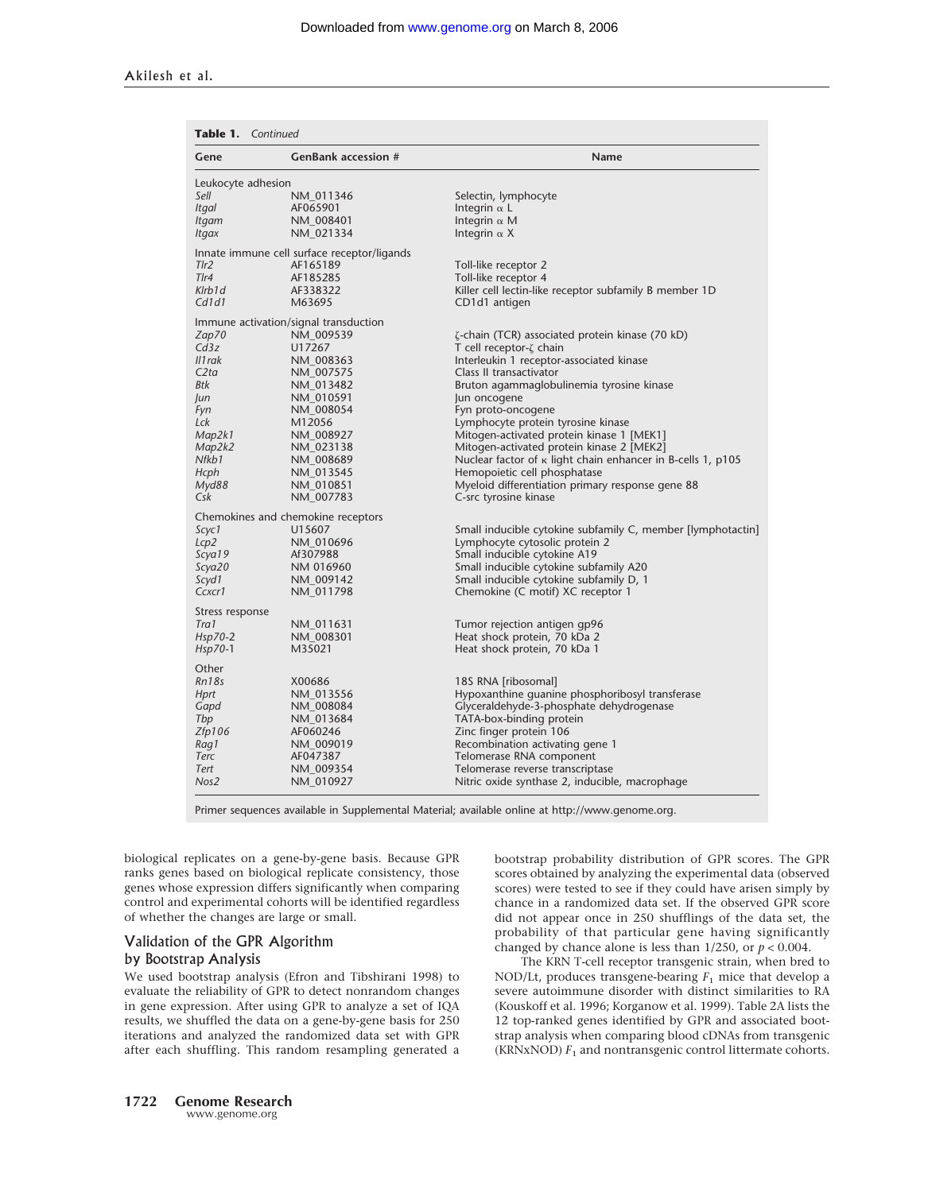| <b>Table 1.</b> Continued |                                             |                                                                    |  |  |  |
|---------------------------|---------------------------------------------|--------------------------------------------------------------------|--|--|--|
| Gene                      | <b>GenBank accession #</b>                  | Name                                                               |  |  |  |
| Leukocyte adhesion        |                                             |                                                                    |  |  |  |
| Sell                      | NM 011346                                   | Selectin, lymphocyte                                               |  |  |  |
| Itgal                     | AF065901                                    | Integrin $\alpha$ L                                                |  |  |  |
| Itgam                     | NM 008401                                   | Integrin $\alpha$ M                                                |  |  |  |
| Itgax                     | NM 021334                                   | Integrin $\alpha$ X                                                |  |  |  |
|                           | Innate immune cell surface receptor/ligands |                                                                    |  |  |  |
| Tlr2                      | AF165189                                    | Toll-like receptor 2                                               |  |  |  |
| $T$ Ir $4$                | AF185285                                    | Toll-like receptor 4                                               |  |  |  |
| Klrb1d                    | AF338322                                    | Killer cell lectin-like receptor subfamily B member 1D             |  |  |  |
| Cd1d1                     | M63695                                      | CD1d1 antigen                                                      |  |  |  |
|                           | Immune activation/signal transduction       |                                                                    |  |  |  |
| Zap70                     | NM 009539                                   | ζ-chain (TCR) associated protein kinase (70 kD)                    |  |  |  |
| Cd3z                      | U17267                                      | T cell receptor-ζ chain                                            |  |  |  |
| II1 rak                   | NM 008363                                   | Interleukin 1 receptor-associated kinase                           |  |  |  |
| C2ta                      | NM 007575                                   | Class II transactivator                                            |  |  |  |
| Btk                       | NM 013482                                   | Bruton agammaglobulinemia tyrosine kinase                          |  |  |  |
| Jun                       | NM 010591                                   | Jun oncogene                                                       |  |  |  |
| Fyn                       | NM_008054                                   | Fyn proto-oncogene                                                 |  |  |  |
| Lck                       | M12056                                      | Lymphocyte protein tyrosine kinase                                 |  |  |  |
| Map2k1                    | NM 008927                                   | Mitogen-activated protein kinase 1 [MEK1]                          |  |  |  |
| Map2k2                    | NM 023138                                   | Mitogen-activated protein kinase 2 [MEK2]                          |  |  |  |
| Nfkb1                     | NM 008689                                   | Nuclear factor of $\kappa$ light chain enhancer in B-cells 1, p105 |  |  |  |
| Hcph                      | NM 013545                                   | Hemopoietic cell phosphatase                                       |  |  |  |
| Myd88                     | NM 010851                                   | Myeloid differentiation primary response gene 88                   |  |  |  |
| Csk                       | NM 007783                                   | C-src tyrosine kinase                                              |  |  |  |
|                           | Chemokines and chemokine receptors          |                                                                    |  |  |  |
| Scyc1                     | U15607                                      | Small inducible cytokine subfamily C, member [lymphotactin]        |  |  |  |
| Lcp2                      | NM 010696                                   | Lymphocyte cytosolic protein 2                                     |  |  |  |
| Scya19                    | Af307988                                    | Small inducible cytokine A19                                       |  |  |  |
| Scya20                    | NM 016960                                   | Small inducible cytokine subfamily A20                             |  |  |  |
| Scyd1                     | NM 009142                                   | Small inducible cytokine subfamily D, 1                            |  |  |  |
| Ccxcr1                    | NM_011798                                   | Chemokine (C motif) XC receptor 1                                  |  |  |  |
| Stress response           |                                             |                                                                    |  |  |  |
| Tra1                      | NM_011631                                   | Tumor rejection antigen gp96                                       |  |  |  |
| $Hsp70-2$                 | NM_008301                                   | Heat shock protein, 70 kDa 2                                       |  |  |  |
| $Hsp70-1$                 | M35021                                      | Heat shock protein, 70 kDa 1                                       |  |  |  |
| Other                     |                                             |                                                                    |  |  |  |
| Rn18s                     | X00686                                      | 18S RNA [ribosomal]                                                |  |  |  |
| Hprt                      | NM 013556                                   | Hypoxanthine quanine phosphoribosyl transferase                    |  |  |  |
| Gapd                      | NM 008084                                   | Glyceraldehyde-3-phosphate dehydrogenase                           |  |  |  |
| Tbp                       | NM 013684                                   | TATA-box-binding protein                                           |  |  |  |
| Zfp106                    | AF060246                                    | Zinc finger protein 106                                            |  |  |  |
| Rag1                      | NM 009019                                   | Recombination activating gene 1                                    |  |  |  |
| Terc                      | AF047387                                    | Telomerase RNA component                                           |  |  |  |
| Tert                      | NM 009354                                   | Telomerase reverse transcriptase                                   |  |  |  |
| Nos2                      | NM 010927                                   | Nitric oxide synthase 2, inducible, macrophage                     |  |  |  |
|                           |                                             |                                                                    |  |  |  |

Primer sequences available in Supplemental Material; available online at http://www.genome.org.

biological replicates on a gene-by-gene basis. Because GPR ranks genes based on biological replicate consistency, those genes whose expression differs significantly when comparing control and experimental cohorts will be identified regardless of whether the changes are large or small.

#### Validation of the GPR Algorithm

#### by Bootstrap Analysis

We used bootstrap analysis (Efron and Tibshirani 1998) to evaluate the reliability of GPR to detect nonrandom changes in gene expression. After using GPR to analyze a set of IQA results, we shuffled the data on a gene-by-gene basis for 250 iterations and analyzed the randomized data set with GPR after each shuffling. This random resampling generated a bootstrap probability distribution of GPR scores. The GPR scores obtained by analyzing the experimental data (observed scores) were tested to see if they could have arisen simply by chance in a randomized data set. If the observed GPR score did not appear once in 250 shufflings of the data set, the probability of that particular gene having significantly changed by chance alone is less than  $1/250$ , or  $p < 0.004$ .

The KRN T-cell receptor transgenic strain, when bred to NOD/Lt, produces transgene-bearing  $F_1$  mice that develop a severe autoimmune disorder with distinct similarities to RA (Kouskoff et al. 1996; Korganow et al. 1999). Table 2A lists the 12 top-ranked genes identified by GPR and associated bootstrap analysis when comparing blood cDNAs from transgenic (KRNxNOD)  $F_1$  and nontransgenic control littermate cohorts.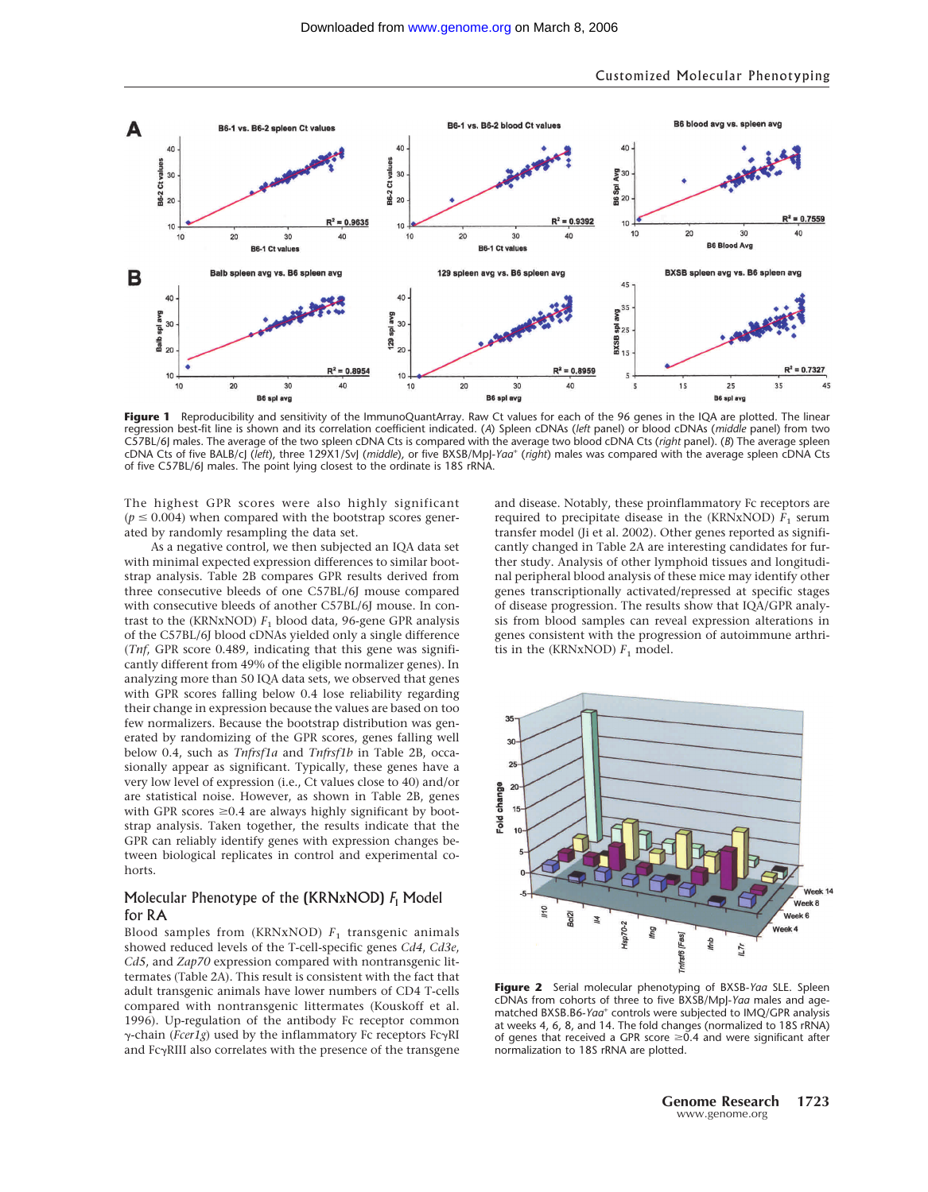

Figure 1 Reproducibility and sensitivity of the ImmunoQuantArray. Raw Ct values for each of the 96 genes in the IQA are plotted. The linear regression best-fit line is shown and its correlation coefficient indicated. (*A*) Spleen cDNAs (*left* panel) or blood cDNAs (*middle* panel) from two C57BL/6J males. The average of the two spleen cDNA Cts is compared with the average two blood cDNA Cts (*right* panel). (*B*) The average spleen cDNA Cts of five BALB/cJ (*left*), three 129X1/SvJ (*middle*), or five BXSB/MpJ-*Yaa*<sup>+</sup> (*right*) males was compared with the average spleen cDNA Cts of five C57BL/6J males. The point lying closest to the ordinate is 18S rRNA.

The highest GPR scores were also highly significant  $(p \le 0.004)$  when compared with the bootstrap scores generated by randomly resampling the data set.

As a negative control, we then subjected an IQA data set with minimal expected expression differences to similar bootstrap analysis. Table 2B compares GPR results derived from three consecutive bleeds of one C57BL/6J mouse compared with consecutive bleeds of another C57BL/6J mouse. In contrast to the (KRNxNOD)  $F_1$  blood data, 96-gene GPR analysis of the C57BL/6J blood cDNAs yielded only a single difference (*Tnf*, GPR score 0.489, indicating that this gene was significantly different from 49% of the eligible normalizer genes). In analyzing more than 50 IQA data sets, we observed that genes with GPR scores falling below 0.4 lose reliability regarding their change in expression because the values are based on too few normalizers. Because the bootstrap distribution was generated by randomizing of the GPR scores, genes falling well below 0.4, such as *Tnfrsf1a* and *Tnfrsf1b* in Table 2B, occasionally appear as significant. Typically, these genes have a very low level of expression (i.e., Ct values close to 40) and/or are statistical noise. However, as shown in Table 2B, genes with GPR scores  $\geq 0.4$  are always highly significant by bootstrap analysis. Taken together, the results indicate that the GPR can reliably identify genes with expression changes between biological replicates in control and experimental cohorts.

### Molecular Phenotype of the (KRNxNOD) *F*<sup>1</sup> Model for RA

Blood samples from (KRNxNOD) *F*<sup>1</sup> transgenic animals showed reduced levels of the T-cell-specific genes *Cd4*, *Cd3e*, *Cd5*, and *Zap70* expression compared with nontransgenic littermates (Table 2A). This result is consistent with the fact that adult transgenic animals have lower numbers of CD4 T-cells compared with nontransgenic littermates (Kouskoff et al. 1996). Up-regulation of the antibody Fc receptor common  $γ$ -chain (*Fcer1g*) used by the inflammatory Fc receptors FcγRI and  $Fc\gamma$ RIII also correlates with the presence of the transgene and disease. Notably, these proinflammatory Fc receptors are required to precipitate disease in the  $(KRNXNOD) F<sub>1</sub>$  serum transfer model (Ji et al. 2002). Other genes reported as significantly changed in Table 2A are interesting candidates for further study. Analysis of other lymphoid tissues and longitudinal peripheral blood analysis of these mice may identify other genes transcriptionally activated/repressed at specific stages of disease progression. The results show that IQA/GPR analysis from blood samples can reveal expression alterations in genes consistent with the progression of autoimmune arthritis in the (KRNxNOD)  $F_1$  model.



**Figure 2** Serial molecular phenotyping of BXSB-*Yaa* SLE. Spleen cDNAs from cohorts of three to five BXSB/MpJ-*Yaa* males and agematched BXSB.B6-*Yaa*<sup>+</sup> controls were subjected to IMQ/GPR analysis at weeks 4, 6, 8, and 14. The fold changes (normalized to 18S rRNA) of genes that received a GPR score  $\geq 0.4$  and were significant after normalization to 18S rRNA are plotted.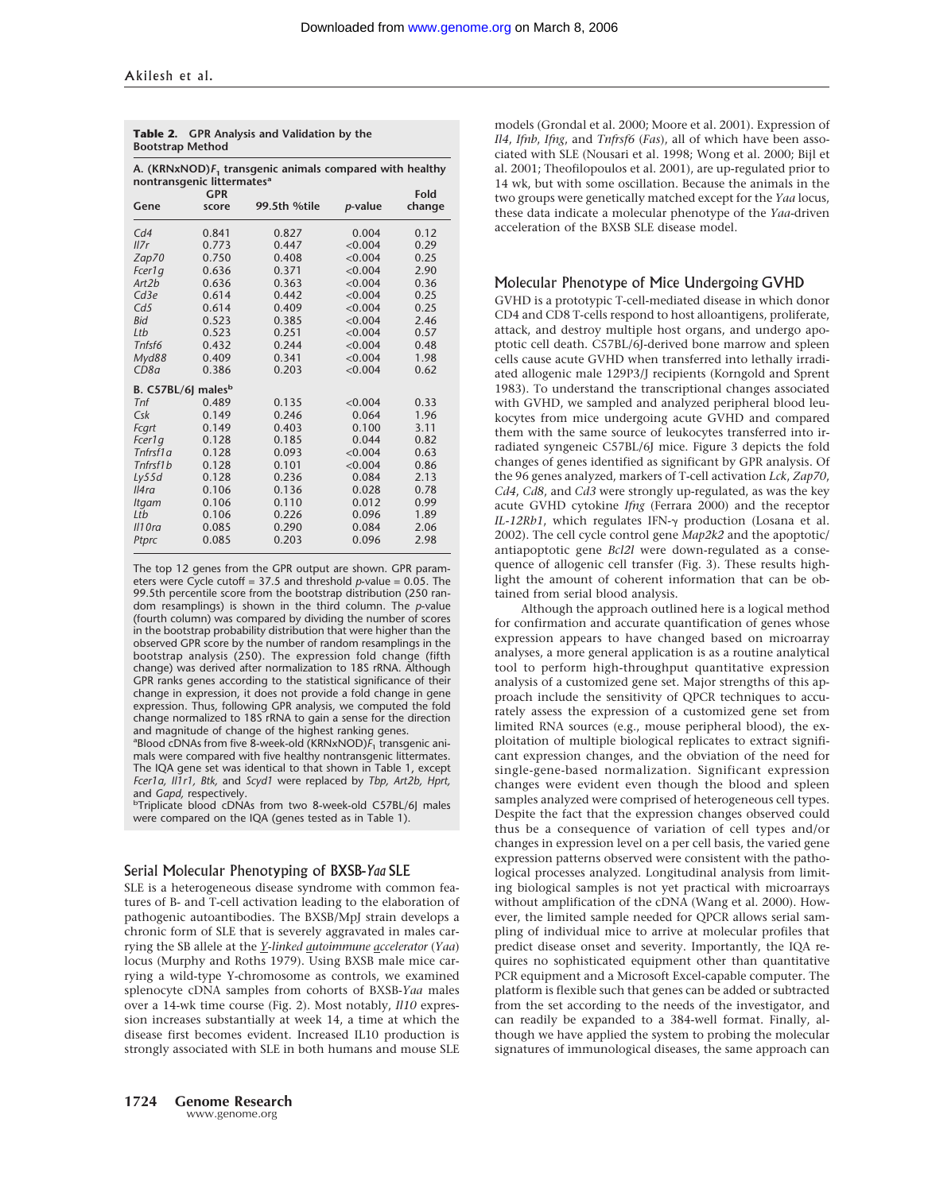| <b>Bootstrap Method</b>                                                                               |            |              |                 |        |  |  |  |  |
|-------------------------------------------------------------------------------------------------------|------------|--------------|-----------------|--------|--|--|--|--|
| A. (KRNxNOD) $F_1$ transgenic animals compared with healthy<br>nontransgenic littermates <sup>a</sup> |            |              |                 |        |  |  |  |  |
|                                                                                                       | <b>GPR</b> |              |                 | Fold   |  |  |  |  |
| Gene                                                                                                  | score      | 99.5th %tile | <i>p</i> -value | change |  |  |  |  |
| Cd4                                                                                                   | 0.841      | 0.827        | 0.004           | 0.12   |  |  |  |  |
| I17r                                                                                                  | 0.773      | 0.447        | < 0.004         | 0.29   |  |  |  |  |
| Zap70                                                                                                 | 0.750      | 0.408        | < 0.004         | 0.25   |  |  |  |  |
| Fcer1q                                                                                                | 0.636      | 0.371        | < 0.004         | 2.90   |  |  |  |  |
| Art2b                                                                                                 | 0.636      | 0.363        | < 0.004         | 0.36   |  |  |  |  |
| Cd3e                                                                                                  | 0.614      | 0.442        | < 0.004         | 0.25   |  |  |  |  |
| Cd5                                                                                                   | 0.614      | 0.409        | < 0.004         | 0.25   |  |  |  |  |
| <b>Bid</b>                                                                                            | 0.523      | 0.385        | < 0.004         | 2.46   |  |  |  |  |
| Ltb                                                                                                   | 0.523      | 0.251        | < 0.004         | 0.57   |  |  |  |  |
| Tnfsf6                                                                                                | 0.432      | 0.244        | < 0.004         | 0.48   |  |  |  |  |
| Myd88                                                                                                 | 0.409      | 0.341        | < 0.004         | 1.98   |  |  |  |  |
| CD8a                                                                                                  | 0.386      | 0.203        | < 0.004         | 0.62   |  |  |  |  |
| B. C57BL/6J males <sup>b</sup>                                                                        |            |              |                 |        |  |  |  |  |
| Tnf                                                                                                   | 0.489      | 0.135        | < 0.004         | 0.33   |  |  |  |  |
| $C$ sk                                                                                                | 0.149      | 0.246        | 0.064           | 1.96   |  |  |  |  |
| Fcart                                                                                                 | 0.149      | 0.403        | 0.100           | 3.11   |  |  |  |  |
| Fcer1q                                                                                                | 0.128      | 0.185        | 0.044           | 0.82   |  |  |  |  |
| $Tnfrs\bar{f}1a$                                                                                      | 0.128      | 0.093        | < 0.004         | 0.63   |  |  |  |  |
| Tnfrsf1b                                                                                              | 0.128      | 0.101        | < 0.004         | 0.86   |  |  |  |  |
| Ly55d                                                                                                 | 0.128      | 0.236        | 0.084           | 2.13   |  |  |  |  |
| I4ra                                                                                                  | 0.106      | 0.136        | 0.028           | 0.78   |  |  |  |  |
| Itgam                                                                                                 | 0.106      | 0.110        | 0.012           | 0.99   |  |  |  |  |
| Ltb                                                                                                   | 0.106      | 0.226        | 0.096           | 1.89   |  |  |  |  |
| $III$ Ora                                                                                             | 0.085      | 0.290        | 0.084           | 2.06   |  |  |  |  |
| Ptprc                                                                                                 | 0.085      | 0.203        | 0.096           | 2.98   |  |  |  |  |

## **Table 2. GPR Analysis and Validation by the**

The top 12 genes from the GPR output are shown. GPR parameters were Cycle cutoff = 37.5 and threshold *p*-value = 0.05. The 99.5th percentile score from the bootstrap distribution (250 random resamplings) is shown in the third column. The *p*-value (fourth column) was compared by dividing the number of scores in the bootstrap probability distribution that were higher than the observed GPR score by the number of random resamplings in the bootstrap analysis (250). The expression fold change (fifth change) was derived after normalization to 18S rRNA. Although GPR ranks genes according to the statistical significance of their change in expression, it does not provide a fold change in gene expression. Thus, following GPR analysis, we computed the fold change normalized to 18S rRNA to gain a sense for the direction and magnitude of change of the highest ranking genes.

<sup>a</sup>Blood cDNAs from five 8-week-old (KRNxNOD) $\bar{F}_1$  transgenic animals were compared with five healthy nontransgenic littermates. The IQA gene set was identical to that shown in Table 1, except *Fcer1a, Il1r1, Btk,* and *Scyd1* were replaced by *Tbp, Art2b, Hprt,*

and *Gapd,* respectively.<br><sup>b</sup>Triplicate blood cDNAs from two 8-week-old C57BL/6J males were compared on the IQA (genes tested as in Table 1).

#### Serial Molecular Phenotyping of BXSB-*Yaa* SLE

SLE is a heterogeneous disease syndrome with common features of B- and T-cell activation leading to the elaboration of pathogenic autoantibodies. The BXSB/MpJ strain develops a chronic form of SLE that is severely aggravated in males carrying the SB allele at the *Y-linked autoimmune accelerator* (*Yaa*) locus (Murphy and Roths 1979). Using BXSB male mice carrying a wild-type Y-chromosome as controls, we examined splenocyte cDNA samples from cohorts of BXSB-*Yaa* males over a 14-wk time course (Fig. 2). Most notably, *Il10* expression increases substantially at week 14, a time at which the disease first becomes evident. Increased IL10 production is strongly associated with SLE in both humans and mouse SLE

models (Grondal et al. 2000; Moore et al. 2001). Expression of *Il4*, *Ifnb*, *Ifng*, and *Tnfrsf6* (*Fas*), all of which have been associated with SLE (Nousari et al. 1998; Wong et al. 2000; Bijl et al. 2001; Theofilopoulos et al. 2001), are up-regulated prior to 14 wk, but with some oscillation. Because the animals in the two groups were genetically matched except for the *Yaa* locus, these data indicate a molecular phenotype of the *Yaa*-driven acceleration of the BXSB SLE disease model.

#### Molecular Phenotype of Mice Undergoing GVHD

GVHD is a prototypic T-cell-mediated disease in which donor CD4 and CD8 T-cells respond to host alloantigens, proliferate, attack, and destroy multiple host organs, and undergo apoptotic cell death. C57BL/6J-derived bone marrow and spleen cells cause acute GVHD when transferred into lethally irradiated allogenic male 129P3/J recipients (Korngold and Sprent 1983). To understand the transcriptional changes associated with GVHD, we sampled and analyzed peripheral blood leukocytes from mice undergoing acute GVHD and compared them with the same source of leukocytes transferred into irradiated syngeneic C57BL/6J mice. Figure 3 depicts the fold changes of genes identified as significant by GPR analysis. Of the 96 genes analyzed, markers of T-cell activation *Lck*, *Zap70*, *Cd4*, *Cd8*, and *Cd3* were strongly up-regulated, as was the key acute GVHD cytokine *Ifng* (Ferrara 2000) and the receptor *IL-12Rb1*, which regulates IFN-γ production (Losana et al. 2002). The cell cycle control gene *Map2k2* and the apoptotic/ antiapoptotic gene *Bcl2l* were down-regulated as a consequence of allogenic cell transfer (Fig. 3). These results highlight the amount of coherent information that can be obtained from serial blood analysis.

Although the approach outlined here is a logical method for confirmation and accurate quantification of genes whose expression appears to have changed based on microarray analyses, a more general application is as a routine analytical tool to perform high-throughput quantitative expression analysis of a customized gene set. Major strengths of this approach include the sensitivity of QPCR techniques to accurately assess the expression of a customized gene set from limited RNA sources (e.g., mouse peripheral blood), the exploitation of multiple biological replicates to extract significant expression changes, and the obviation of the need for single-gene-based normalization. Significant expression changes were evident even though the blood and spleen samples analyzed were comprised of heterogeneous cell types. Despite the fact that the expression changes observed could thus be a consequence of variation of cell types and/or changes in expression level on a per cell basis, the varied gene expression patterns observed were consistent with the pathological processes analyzed. Longitudinal analysis from limiting biological samples is not yet practical with microarrays without amplification of the cDNA (Wang et al. 2000). However, the limited sample needed for QPCR allows serial sampling of individual mice to arrive at molecular profiles that predict disease onset and severity. Importantly, the IQA requires no sophisticated equipment other than quantitative PCR equipment and a Microsoft Excel-capable computer. The platform is flexible such that genes can be added or subtracted from the set according to the needs of the investigator, and can readily be expanded to a 384-well format. Finally, although we have applied the system to probing the molecular signatures of immunological diseases, the same approach can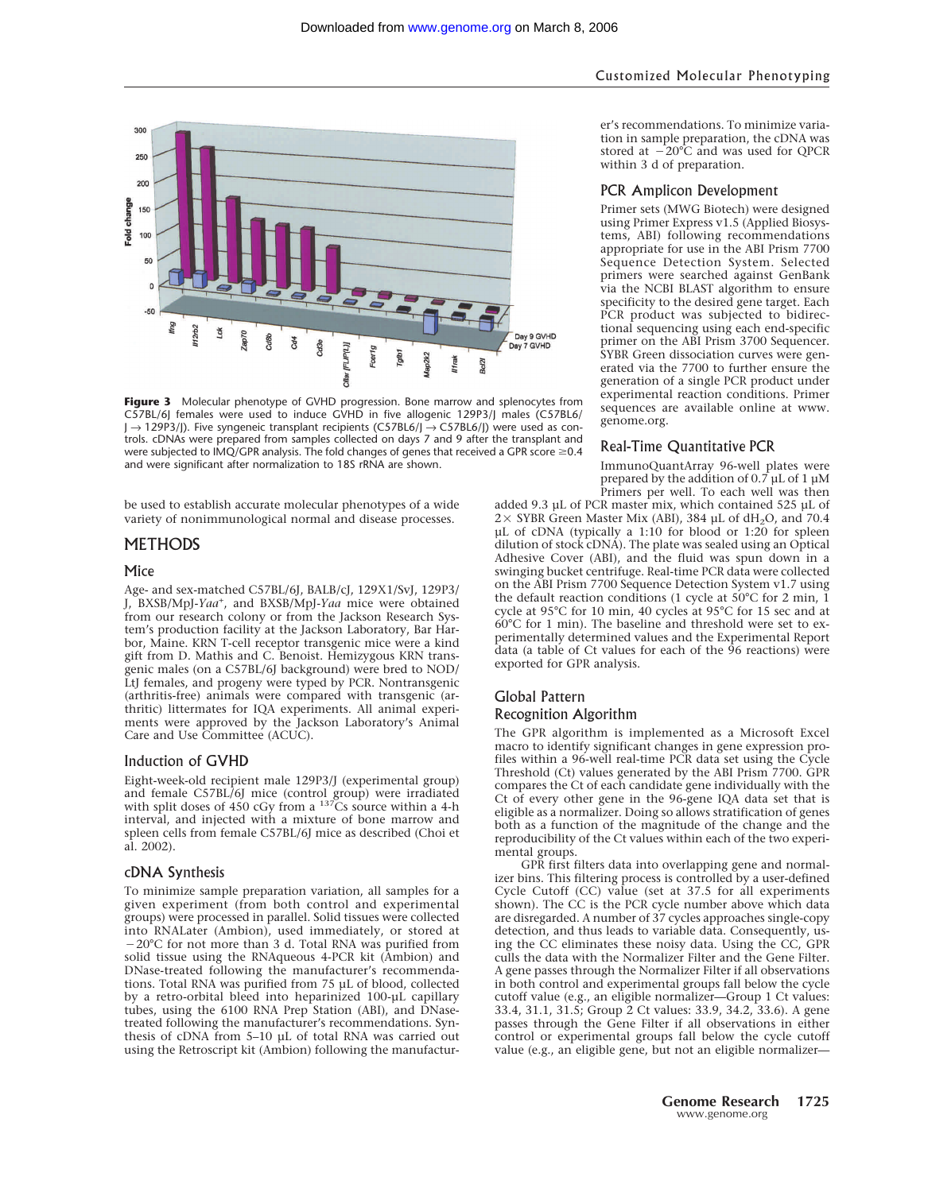

**Figure 3** Molecular phenotype of GVHD progression. Bone marrow and splenocytes from C57BL/6J females were used to induce GVHD in five allogenic 129P3/J males (C57BL6/ J → 129P3/J). Five syngeneic transplant recipients (C57BL6/J → C57BL6/J) were used as controls. cDNAs were prepared from samples collected on days 7 and 9 after the transplant and were subjected to IMQ/GPR analysis. The fold changes of genes that received a GPR score  $\geq 0.4$ and were significant after normalization to 18S rRNA are shown.

be used to establish accurate molecular phenotypes of a wide variety of nonimmunological normal and disease processes.

#### **METHODS**

#### Mice

Age- and sex-matched C57BL/6J, BALB/cJ, 129X1/SvJ, 129P3/ J, BXSB/MpJ-*Yaa*<sup>+</sup> , and BXSB/MpJ-*Yaa* mice were obtained from our research colony or from the Jackson Research System's production facility at the Jackson Laboratory, Bar Harbor, Maine. KRN T-cell receptor transgenic mice were a kind gift from D. Mathis and C. Benoist. Hemizygous KRN transgenic males (on a C57BL/6J background) were bred to NOD/ LtJ females, and progeny were typed by PCR. Nontransgenic (arthritis-free) animals were compared with transgenic (arthritic) littermates for IQA experiments. All animal experiments were approved by the Jackson Laboratory's Animal Care and Use Committee (ACUC).

#### Induction of GVHD

Eight-week-old recipient male 129P3/J (experimental group) and female  $C57BL/6J$  mice (control group) were irradiated with split doses of 450 cGy from a <sup>137</sup>Cs source within a 4-h interval, and injected with a mixture of bone marrow and spleen cells from female C57BL/6J mice as described (Choi et al. 2002).

#### cDNA Synthesis

To minimize sample preparation variation, all samples for a given experiment (from both control and experimental groups) were processed in parallel. Solid tissues were collected into RNALater (Ambion), used immediately, or stored at 20°C for not more than 3 d. Total RNA was purified from solid tissue using the RNAqueous 4-PCR kit (Ambion) and DNase-treated following the manufacturer's recommendations. Total RNA was purified from 75 µL of blood, collected by a retro-orbital bleed into heparinized 100-µL capillary tubes, using the 6100 RNA Prep Station (ABI), and DNasetreated following the manufacturer's recommendations. Synthesis of cDNA from 5–10 µL of total RNA was carried out using the Retroscript kit (Ambion) following the manufacturer's recommendations. To minimize variation in sample preparation, the cDNA was stored at  $-20^{\circ}$ C and was used for QPCR within 3 d of preparation.

#### PCR Amplicon Development

Primer sets (MWG Biotech) were designed using Primer Express v1.5 (Applied Biosystems, ABI) following recommendations appropriate for use in the ABI Prism 7700 Sequence Detection System. Selected primers were searched against GenBank via the NCBI BLAST algorithm to ensure specificity to the desired gene target. Each PCR product was subjected to bidirectional sequencing using each end-specific primer on the ABI Prism 3700 Sequencer. SYBR Green dissociation curves were generated via the 7700 to further ensure the generation of a single PCR product under experimental reaction conditions. Primer sequences are available online at www. genome.org.

#### Real-Time Quantitative PCR

ImmunoQuantArray 96-well plates were prepared by the addition of 0.7 µL of 1 µM Primers per well. To each well was then

added 9.3 µL of PCR master mix, which contained 525 µL of  $2 \times$  SYBR Green Master Mix (ABI), 384 µL of dH<sub>2</sub>O, and 70.4 µL of cDNA (typically a 1:10 for blood or 1:20 for spleen dilution of stock cDNA). The plate was sealed using an Optical Adhesive Cover (ABI), and the fluid was spun down in a swinging bucket centrifuge. Real-time PCR data were collected on the ABI Prism 7700 Sequence Detection System v1.7 using the default reaction conditions (1 cycle at 50°C for 2 min, 1 cycle at 95°C for 10 min, 40 cycles at 95°C for 15 sec and at 60°C for 1 min). The baseline and threshold were set to experimentally determined values and the Experimental Report data (a table of Ct values for each of the  $96$  reactions) were exported for GPR analysis.

## Global Pattern Recognition Algorithm

The GPR algorithm is implemented as a Microsoft Excel macro to identify significant changes in gene expression profiles within a 96-well real-time PCR data set using the Cycle Threshold (Ct) values generated by the ABI Prism 7700. GPR compares the Ct of each candidate gene individually with the Ct of every other gene in the 96-gene IQA data set that is eligible as a normalizer. Doing so allows stratification of genes both as a function of the magnitude of the change and the reproducibility of the Ct values within each of the two experimental groups.

GPR first filters data into overlapping gene and normalizer bins. This filtering process is controlled by a user-defined Cycle Cutoff (CC) value (set at 37.5 for all experiments shown). The CC is the PCR cycle number above which data are disregarded. A number of 37 cycles approaches single-copy detection, and thus leads to variable data. Consequently, using the CC eliminates these noisy data. Using the CC, GPR culls the data with the Normalizer Filter and the Gene Filter. A gene passes through the Normalizer Filter if all observations in both control and experimental groups fall below the cycle cutoff value (e.g., an eligible normalizer—Group 1 Ct values: 33.4, 31.1, 31.5; Group 2 Ct values: 33.9, 34.2, 33.6). A gene passes through the Gene Filter if all observations in either control or experimental groups fall below the cycle cutoff value (e.g., an eligible gene, but not an eligible normalizer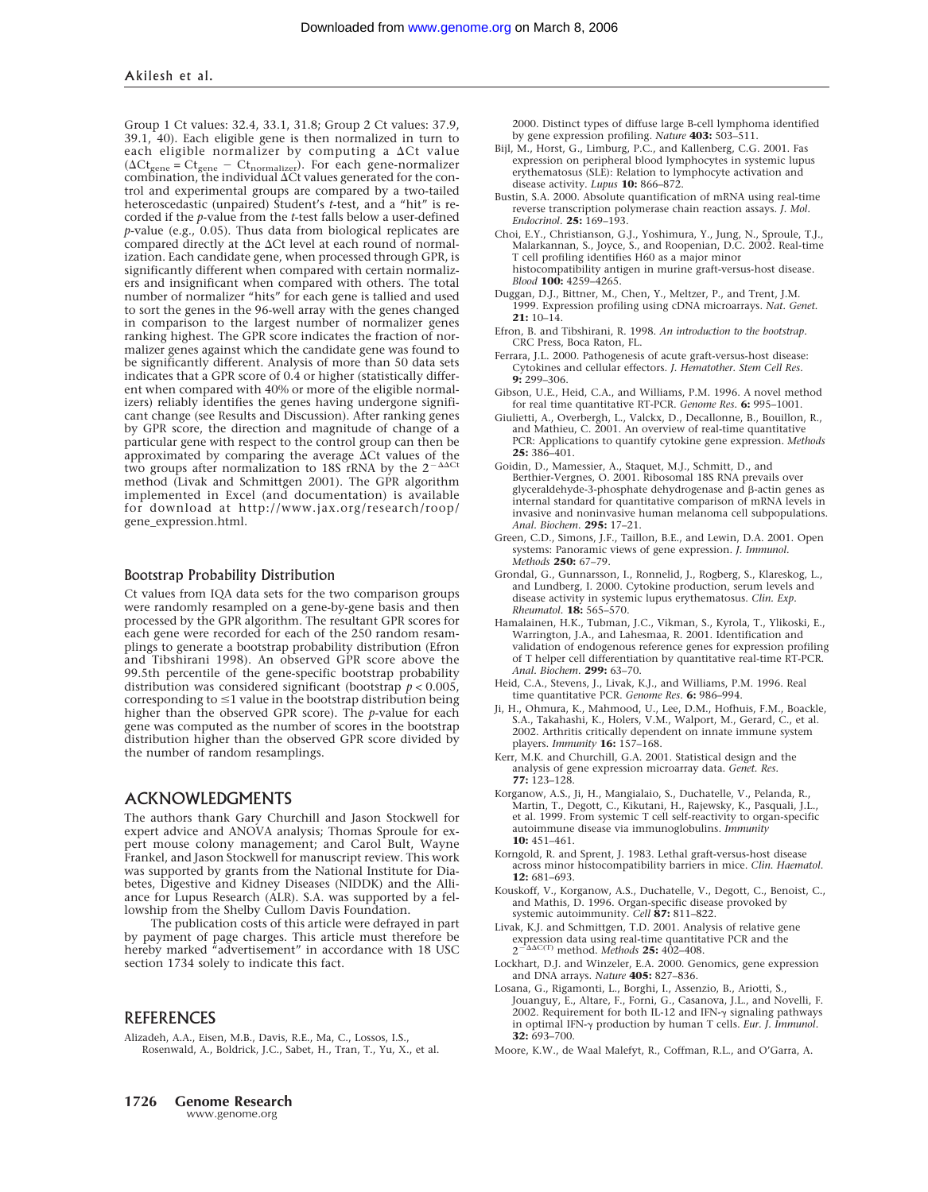Group 1 Ct values: 32.4, 33.1, 31.8; Group 2 Ct values: 37.9, 39.1, 40). Each eligible gene is then normalized in turn to each eligible normalizer by computing a  $\Delta$ Ct value  $(\Delta C t_{\text{gene}} = C t_{\text{gene}} - C t_{\text{normalizer}})$ . For each gene-normalizer combination, the individual  $\Delta C t$  values generated for the control and experimental groups are compared by a two-tailed heteroscedastic (unpaired) Student's *t*-test, and a "hit" is recorded if the *p*-value from the *t*-test falls below a user-defined  $p$ -value (e.g.,  $0.05$ ). Thus data from biological replicates are compared directly at the  $\Delta$ Ct level at each round of normalization. Each candidate gene, when processed through GPR, is significantly different when compared with certain normalizers and insignificant when compared with others. The total number of normalizer "hits" for each gene is tallied and used to sort the genes in the 96-well array with the genes changed in comparison to the largest number of normalizer genes ranking highest. The GPR score indicates the fraction of normalizer genes against which the candidate gene was found to be significantly different. Analysis of more than 50 data sets indicates that a GPR score of 0.4 or higher (statistically different when compared with 40% or more of the eligible normalizers) reliably identifies the genes having undergone significant change (see Results and Discussion). After ranking genes by GPR score, the direction and magnitude of change of a particular gene with respect to the control group can then be approximated by comparing the average  $\Delta$ Ct values of the two groups after normalization to 18S rRNA by the  $2^{-\Delta\Delta Ct}$ method (Livak and Schmittgen 2001). The GPR algorithm implemented in Excel (and documentation) is available for download at http://www.jax.org/research/roop/ gene\_expression.html.

## Bootstrap Probability Distribution

Ct values from IQA data sets for the two comparison groups were randomly resampled on a gene-by-gene basis and then processed by the GPR algorithm. The resultant GPR scores for each gene were recorded for each of the 250 random resamplings to generate a bootstrap probability distribution (Efron and Tibshirani 1998). An observed GPR score above the 99.5th percentile of the gene-specific bootstrap probability distribution was considered significant (bootstrap *p* < 0.005, corresponding to  $\leq 1$  value in the bootstrap distribution being higher than the observed GPR score). The *p*-value for each gene was computed as the number of scores in the bootstrap distribution higher than the observed GPR score divided by the number of random resamplings.

## ACKNOWLEDGMENTS

The authors thank Gary Churchill and Jason Stockwell for expert advice and ANOVA analysis; Thomas Sproule for expert mouse colony management; and Carol Bult, Wayne Frankel, and Jason Stockwell for manuscript review. This work was supported by grants from the National Institute for Diabetes, Digestive and Kidney Diseases (NIDDK) and the Alliance for Lupus Research (ALR). S.A. was supported by a fellowship from the Shelby Cullom Davis Foundation.

The publication costs of this article were defrayed in part by payment of page charges. This article must therefore be hereby marked "advertisement" in accordance with 18 USC section 1734 solely to indicate this fact.

## **REFERENCES**

Alizadeh, A.A., Eisen, M.B., Davis, R.E., Ma, C., Lossos, I.S., Rosenwald, A., Boldrick, J.C., Sabet, H., Tran, T., Yu, X., et al. 2000. Distinct types of diffuse large B-cell lymphoma identified by gene expression profiling. *Nature* **403:** 503–511.

- Bijl, M., Horst, G., Limburg, P.C., and Kallenberg, C.G. 2001. Fas expression on peripheral blood lymphocytes in systemic lupus erythematosus (SLE): Relation to lymphocyte activation and disease activity. *Lupus* **10:** 866–872.
- Bustin, S.A. 2000. Absolute quantification of mRNA using real-time reverse transcription polymerase chain reaction assays. *J. Mol. Endocrinol.* **25:** 169–193.
- Choi, E.Y., Christianson, G.J., Yoshimura, Y., Jung, N., Sproule, T.J., Malarkannan, S., Joyce, S., and Roopenian, D.C. 2002. Real-time T cell profiling identifies H60 as a major minor histocompatibility antigen in murine graft-versus-host disease. *Blood* **100:** 4259–4265.
- Duggan, D.J., Bittner, M., Chen, Y., Meltzer, P., and Trent, J.M. 1999. Expression profiling using cDNA microarrays. *Nat. Genet.* **21:** 10–14.
- Efron, B. and Tibshirani, R. 1998. *An introduction to the bootstrap.* CRC Press, Boca Raton, FL.
- Ferrara, J.L. 2000. Pathogenesis of acute graft-versus-host disease: Cytokines and cellular effectors. *J. Hematother. Stem Cell Res.* **9:** 299–306.
- Gibson, U.E., Heid, C.A., and Williams, P.M. 1996. A novel method for real time quantitative RT-PCR. *Genome Res.* **6:** 995–1001.
- Giulietti, A., Overbergh, L., Valckx, D., Decallonne, B., Bouillon, R., and Mathieu, C. 2001. An overview of real-time quantitative PCR: Applications to quantify cytokine gene expression. *Methods* **25:** 386–401.
- Goidin, D., Mamessier, A., Staquet, M.J., Schmitt, D., and Berthier-Vergnes, O. 2001. Ribosomal 18S RNA prevails over glyceraldehyde-3-phosphate dehydrogenase and  $\beta$ -actin genes as internal standard for quantitative comparison of mRNA levels in invasive and noninvasive human melanoma cell subpopulations. *Anal. Biochem.* **295:** 17–21.
- Green, C.D., Simons, J.F., Taillon, B.E., and Lewin, D.A. 2001. Open systems: Panoramic views of gene expression. *J. Immunol. Methods* **250:** 67–79.
- Grondal, G., Gunnarsson, I., Ronnelid, J., Rogberg, S., Klareskog, L., and Lundberg, I. 2000. Cytokine production, serum levels and disease activity in systemic lupus erythematosus. *Clin. Exp. Rheumatol.* **18:** 565–570.
- Hamalainen, H.K., Tubman, J.C., Vikman, S., Kyrola, T., Ylikoski, E., Warrington, J.A., and Lahesmaa, R. 2001. Identification and validation of endogenous reference genes for expression profiling of T helper cell differentiation by quantitative real-time RT-PCR. *Anal. Biochem.* **299:** 63–70.
- Heid, C.A., Stevens, J., Livak, K.J., and Williams, P.M. 1996. Real time quantitative PCR. *Genome Res.* **6:** 986–994.
- Ji, H., Ohmura, K., Mahmood, U., Lee, D.M., Hofhuis, F.M., Boackle, S.A., Takahashi, K., Holers, V.M., Walport, M., Gerard, C., et al. 2002. Arthritis critically dependent on innate immune system players. *Immunity* **16:** 157–168.
- Kerr, M.K. and Churchill, G.A. 2001. Statistical design and the analysis of gene expression microarray data. *Genet. Res.* **77:** 123–128.
- Korganow, A.S., Ji, H., Mangialaio, S., Duchatelle, V., Pelanda, R., Martin, T., Degott, C., Kikutani, H., Rajewsky, K., Pasquali, J.L., et al. 1999. From systemic T cell self-reactivity to organ-specific autoimmune disease via immunoglobulins. *Immunity* **10:** 451–461.
- Korngold, R. and Sprent, J. 1983. Lethal graft-versus-host disease across minor histocompatibility barriers in mice. *Clin. Haematol.* **12:** 681–693.
- Kouskoff, V., Korganow, A.S., Duchatelle, V., Degott, C., Benoist, C., and Mathis, D. 1996. Organ-specific disease provoked by systemic autoimmunity. *Cell* **87:** 811–822.
- Livak, K.J. and Schmittgen, T.D. 2001. Analysis of relative gene expression data using real-time quantitative PCR and the  $2^{-\Delta\Delta C(T)}$  method. *Methods* **25:** 402–408.
- Lockhart, D.J. and Winzeler, E.A. 2000. Genomics, gene expression and DNA arrays. *Nature* **405:** 827–836.
- Losana, G., Rigamonti, L., Borghi, I., Assenzio, B., Ariotti, S., Jouanguy, E., Altare, F., Forni, G., Casanova, J.L., and Novelli, F.<br>2002. Requirement for both IL-12 and IFN-γ signaling pathways in optimal IFN- $\gamma$  production by human T cells. *Eur. J. Immunol.* **32:** 693–700.
- Moore, K.W., de Waal Malefyt, R., Coffman, R.L., and O'Garra, A.